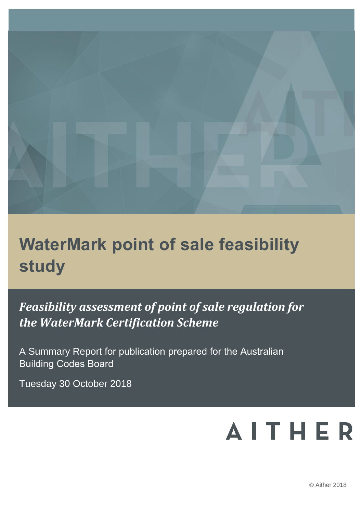

# **WaterMark point of sale feasibility study**

*Feasibility assessment of point of sale regulation for the WaterMark Certification Scheme* 

A Summary Report for publication prepared for the Australian Building Codes Board

Tuesday 30 October 2018

# **AITHER**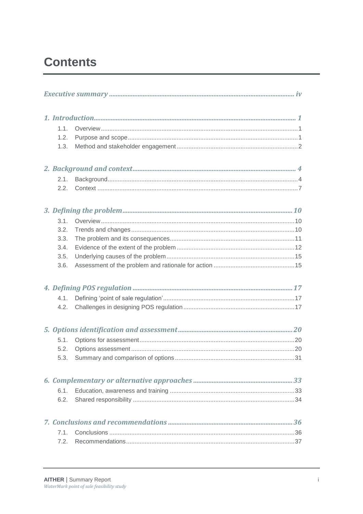# **Contents**

| 1.1. |  |
|------|--|
| 1.2. |  |
| 1.3. |  |
|      |  |
| 2.1. |  |
| 2.2. |  |
|      |  |
| 3.1. |  |
| 3.2. |  |
| 3.3. |  |
| 3.4. |  |
| 3.5. |  |
| 3.6. |  |
|      |  |
| 4.1. |  |
| 4.2. |  |
|      |  |
| 5.1. |  |
| 5.2. |  |
| 5.3. |  |
|      |  |
| 6.1. |  |
| 6.2. |  |
|      |  |
| 7.1. |  |
| 7.2. |  |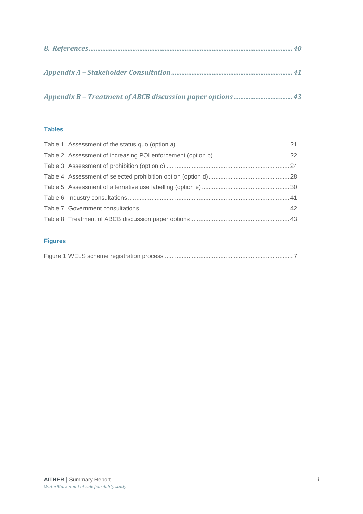*Appendix B – [Treatment of ABCB discussion paper options](#page-55-0) ...................................43*

### **Tables**

### **Figures**

|--|--|--|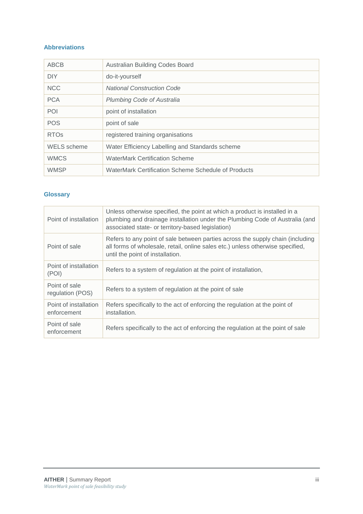### **Abbreviations**

| ABCB               | Australian Building Codes Board                     |
|--------------------|-----------------------------------------------------|
| <b>DIY</b>         | do-it-yourself                                      |
| <b>NCC</b>         | <b>National Construction Code</b>                   |
| <b>PCA</b>         | <b>Plumbing Code of Australia</b>                   |
| POI                | point of installation                               |
| <b>POS</b>         | point of sale                                       |
| <b>RTOs</b>        | registered training organisations                   |
| <b>WELS</b> scheme | Water Efficiency Labelling and Standards scheme     |
| <b>WMCS</b>        | <b>WaterMark Certification Scheme</b>               |
| <b>WMSP</b>        | WaterMark Certification Scheme Schedule of Products |

### **Glossary**

| Point of installation                | Unless otherwise specified, the point at which a product is installed in a<br>plumbing and drainage installation under the Plumbing Code of Australia (and<br>associated state- or territory-based legislation) |
|--------------------------------------|-----------------------------------------------------------------------------------------------------------------------------------------------------------------------------------------------------------------|
| Point of sale                        | Refers to any point of sale between parties across the supply chain (including<br>all forms of wholesale, retail, online sales etc.) unless otherwise specified,<br>until the point of installation.            |
| Point of installation<br>(POI)       | Refers to a system of regulation at the point of installation,                                                                                                                                                  |
| Point of sale<br>regulation (POS)    | Refers to a system of regulation at the point of sale                                                                                                                                                           |
| Point of installation<br>enforcement | Refers specifically to the act of enforcing the regulation at the point of<br>installation.                                                                                                                     |
| Point of sale<br>enforcement         | Refers specifically to the act of enforcing the regulation at the point of sale                                                                                                                                 |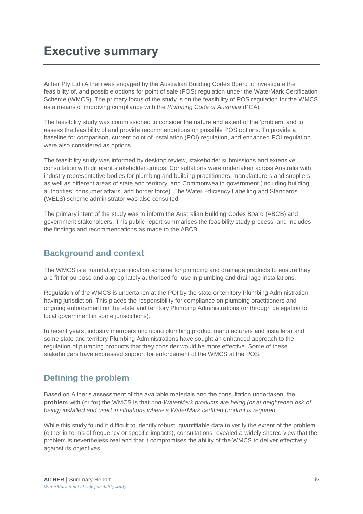<span id="page-5-0"></span>Aither Pty Ltd (Aither) was engaged by the Australian Building Codes Board to investigate the feasibility of, and possible options for point of sale (POS) regulation under the WaterMark Certification Scheme (WMCS). The primary focus of the study is on the feasibility of POS regulation for the WMCS as a means of improving compliance with the *Plumbing Code of Australia* (PCA).

The feasibility study was commissioned to consider the nature and extent of the 'problem' and to assess the feasibility of and provide recommendations on possible POS options. To provide a baseline for comparison, current point of installation (POI) regulation, and enhanced POI regulation were also considered as options.

The feasibility study was informed by desktop review, stakeholder submissions and extensive consultation with different stakeholder groups. Consultations were undertaken across Australia with industry representative bodies for plumbing and building practitioners, manufacturers and suppliers, as well as different areas of state and territory, and Commonwealth government (including building authorities, consumer affairs, and border force). The Water Efficiency Labelling and Standards (WELS) scheme administrator was also consulted.

The primary intent of the study was to inform the Australian Building Codes Board (ABCB) and government stakeholders. This public report summarises the feasibility study process, and includes the findings and recommendations as made to the ABCB.

### **Background and context**

The WMCS is a mandatory certification scheme for plumbing and drainage products to ensure they are fit for purpose and appropriately authorised for use in plumbing and drainage installations.

Regulation of the WMCS is undertaken at the POI by the state or territory Plumbing Administration having jurisdiction. This places the responsibility for compliance on plumbing practitioners and ongoing enforcement on the state and territory Plumbing Administrations (or through delegation to local government in some jurisdictions).

In recent years, industry members (including plumbing product manufacturers and installers) and some state and territory Plumbing Administrations have sought an enhanced approach to the regulation of plumbing products that they consider would be more effective. Some of these stakeholders have expressed support for enforcement of the WMCS at the POS.

### **Defining the problem**

Based on Aither's assessment of the available materials and the consultation undertaken, the **problem** with (or for) the WMCS is that *non-WaterMark products are being (or at heightened risk of being) installed and used in situations where a WaterMark certified product is required*.

While this study found it difficult to identify robust, quantifiable data to verify the extent of the problem (either in terms of frequency or specific impacts), consultations revealed a widely shared view that the problem is nevertheless real and that it compromises the ability of the WMCS to deliver effectively against its objectives.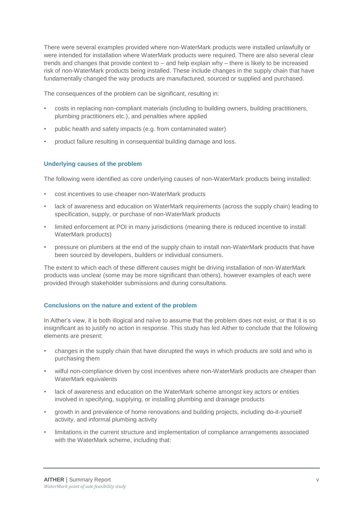There were several examples provided where non-WaterMark products were installed unlawfully or were intended for installation where WaterMark products were required. There are also several clear trends and changes that provide context to – and help explain why – there is likely to be increased risk of non-WaterMark products being installed. These include changes in the supply chain that have fundamentally changed the way products are manufactured, sourced or supplied and purchased.

The consequences of the problem can be significant, resulting in:

- costs in replacing non-compliant materials (including to building owners, building practitioners, plumbing practitioners etc.), and penalties where applied
- public health and safety impacts (e.g. from contaminated water)
- product failure resulting in consequential building damage and loss.

### **Underlying causes of the problem**

The following were identified as core underlying causes of non-WaterMark products being installed:

- cost incentives to use cheaper non-WaterMark products
- lack of awareness and education on WaterMark requirements (across the supply chain) leading to specification, supply, or purchase of non-WaterMark products
- limited enforcement at POI in many jurisdictions (meaning there is reduced incentive to install WaterMark products)
- pressure on plumbers at the end of the supply chain to install non-WaterMark products that have been sourced by developers, builders or individual consumers.

The extent to which each of these different causes might be driving installation of non-WaterMark products was unclear (some may be more significant than others), however examples of each were provided through stakeholder submissions and during consultations.

### **Conclusions on the nature and extent of the problem**

In Aither's view, it is both illogical and naïve to assume that the problem does not exist, or that it is so insignificant as to justify no action in response. This study has led Aither to conclude that the following elements are present:

- changes in the supply chain that have disrupted the ways in which products are sold and who is purchasing them
- wilful non-compliance driven by cost incentives where non-WaterMark products are cheaper than WaterMark equivalents
- lack of awareness and education on the WaterMark scheme amongst key actors or entities involved in specifying, supplying, or installing plumbing and drainage products
- growth in and prevalence of home renovations and building projects, including do-it-yourself activity, and informal plumbing activity
- limitations in the current structure and implementation of compliance arrangements associated with the WaterMark scheme, including that: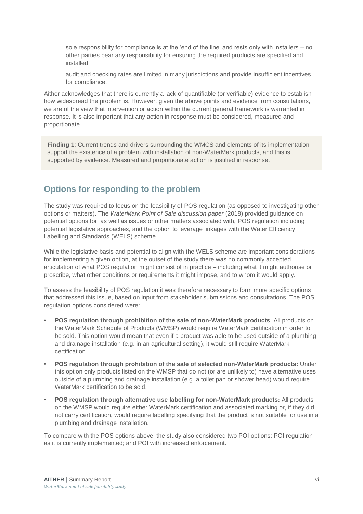- sole responsibility for compliance is at the 'end of the line' and rests only with installers  $-$  no other parties bear any responsibility for ensuring the required products are specified and installed
- audit and checking rates are limited in many jurisdictions and provide insufficient incentives for compliance.

Aither acknowledges that there is currently a lack of quantifiable (or verifiable) evidence to establish how widespread the problem is. However, given the above points and evidence from consultations, we are of the view that intervention or action within the current general framework is warranted in response. It is also important that any action in response must be considered, measured and proportionate.

**Finding 1**: Current trends and drivers surrounding the WMCS and elements of its implementation support the existence of a problem with installation of non-WaterMark products, and this is supported by evidence. Measured and proportionate action is justified in response.

### **Options for responding to the problem**

The study was required to focus on the feasibility of POS regulation (as opposed to investigating other options or matters). The *WaterMark Point of Sale discussion paper* (2018) provided guidance on potential options for, as well as issues or other matters associated with, POS regulation including potential legislative approaches, and the option to leverage linkages with the Water Efficiency Labelling and Standards (WELS) scheme.

While the legislative basis and potential to align with the WELS scheme are important considerations for implementing a given option, at the outset of the study there was no commonly accepted articulation of what POS regulation might consist of in practice – including what it might authorise or proscribe, what other conditions or requirements it might impose, and to whom it would apply.

To assess the feasibility of POS regulation it was therefore necessary to form more specific options that addressed this issue, based on input from stakeholder submissions and consultations. The POS regulation options considered were:

- **POS regulation through prohibition of the sale of non-WaterMark products**: All products on the WaterMark Schedule of Products (WMSP) would require WaterMark certification in order to be sold. This option would mean that even if a product was able to be used outside of a plumbing and drainage installation (e.g. in an agricultural setting), it would still require WaterMark certification.
- **POS regulation through prohibition of the sale of selected non-WaterMark products:** Under this option only products listed on the WMSP that do not (or are unlikely to) have alternative uses outside of a plumbing and drainage installation (e.g. a toilet pan or shower head) would require WaterMark certification to be sold.
- **POS regulation through alternative use labelling for non-WaterMark products:** All products on the WMSP would require either WaterMark certification and associated marking or, if they did not carry certification, would require labelling specifying that the product is not suitable for use in a plumbing and drainage installation.

To compare with the POS options above, the study also considered two POI options: POI regulation as it is currently implemented; and POI with increased enforcement.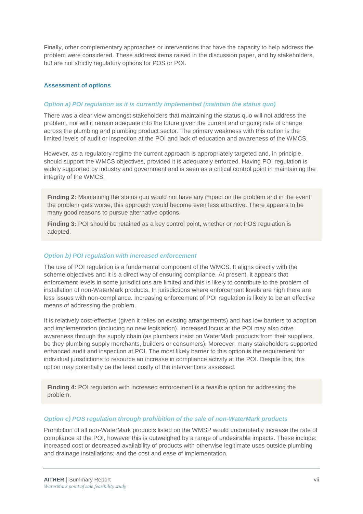Finally, other complementary approaches or interventions that have the capacity to help address the problem were considered. These address items raised in the discussion paper, and by stakeholders, but are not strictly regulatory options for POS or POI.

### **Assessment of options**

#### *Option a) POI regulation as it is currently implemented (maintain the status quo)*

There was a clear view amongst stakeholders that maintaining the status quo will not address the problem, nor will it remain adequate into the future given the current and ongoing rate of change across the plumbing and plumbing product sector. The primary weakness with this option is the limited levels of audit or inspection at the POI and lack of education and awareness of the WMCS.

However, as a regulatory regime the current approach is appropriately targeted and, in principle, should support the WMCS objectives, provided it is adequately enforced. Having POI regulation is widely supported by industry and government and is seen as a critical control point in maintaining the integrity of the WMCS.

**Finding 2:** Maintaining the status quo would not have any impact on the problem and in the event the problem gets worse, this approach would become even less attractive. There appears to be many good reasons to pursue alternative options.

**Finding 3:** POI should be retained as a key control point, whether or not POS regulation is adopted.

#### *Option b) POI regulation with increased enforcement*

The use of POI regulation is a fundamental component of the WMCS. It aligns directly with the scheme objectives and it is a direct way of ensuring compliance. At present, it appears that enforcement levels in some jurisdictions are limited and this is likely to contribute to the problem of installation of non-WaterMark products. In jurisdictions where enforcement levels are high there are less issues with non-compliance. Increasing enforcement of POI regulation is likely to be an effective means of addressing the problem.

It is relatively cost-effective (given it relies on existing arrangements) and has low barriers to adoption and implementation (including no new legislation). Increased focus at the POI may also drive awareness through the supply chain (as plumbers insist on WaterMark products from their suppliers, be they plumbing supply merchants, builders or consumers). Moreover, many stakeholders supported enhanced audit and inspection at POI. The most likely barrier to this option is the requirement for individual jurisdictions to resource an increase in compliance activity at the POI. Despite this, this option may potentially be the least costly of the interventions assessed.

**Finding 4: POI regulation with increased enforcement is a feasible option for addressing the** problem.

#### *Option c) POS regulation through prohibition of the sale of non-WaterMark products*

Prohibition of all non-WaterMark products listed on the WMSP would undoubtedly increase the rate of compliance at the POI, however this is outweighed by a range of undesirable impacts. These include: increased cost or decreased availability of products with otherwise legitimate uses outside plumbing and drainage installations; and the cost and ease of implementation.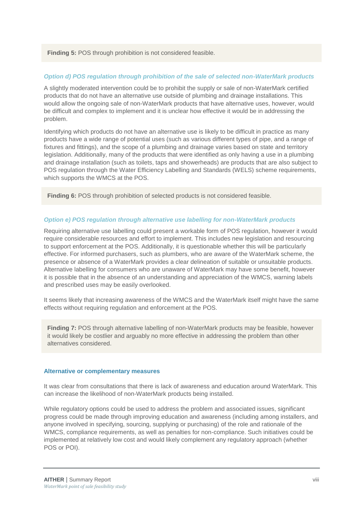**Finding 5:** POS through prohibition is not considered feasible.

#### *Option d) POS regulation through prohibition of the sale of selected non-WaterMark products*

A slightly moderated intervention could be to prohibit the supply or sale of non-WaterMark certified products that do not have an alternative use outside of plumbing and drainage installations. This would allow the ongoing sale of non-WaterMark products that have alternative uses, however, would be difficult and complex to implement and it is unclear how effective it would be in addressing the problem.

Identifying which products do not have an alternative use is likely to be difficult in practice as many products have a wide range of potential uses (such as various different types of pipe, and a range of fixtures and fittings), and the scope of a plumbing and drainage varies based on state and territory legislation. Additionally, many of the products that were identified as only having a use in a plumbing and drainage installation (such as toilets, taps and showerheads) are products that are also subject to POS regulation through the Water Efficiency Labelling and Standards (WELS) scheme requirements, which supports the WMCS at the POS.

**Finding 6:** POS through prohibition of selected products is not considered feasible.

#### *Option e) POS regulation through alternative use labelling for non-WaterMark products*

Requiring alternative use labelling could present a workable form of POS regulation, however it would require considerable resources and effort to implement. This includes new legislation and resourcing to support enforcement at the POS. Additionally, it is questionable whether this will be particularly effective. For informed purchasers, such as plumbers, who are aware of the WaterMark scheme, the presence or absence of a WaterMark provides a clear delineation of suitable or unsuitable products. Alternative labelling for consumers who are unaware of WaterMark may have some benefit, however it is possible that in the absence of an understanding and appreciation of the WMCS, warning labels and prescribed uses may be easily overlooked.

It seems likely that increasing awareness of the WMCS and the WaterMark itself might have the same effects without requiring regulation and enforcement at the POS.

**Finding 7:** POS through alternative labelling of non-WaterMark products may be feasible, however it would likely be costlier and arguably no more effective in addressing the problem than other alternatives considered.

#### **Alternative or complementary measures**

It was clear from consultations that there is lack of awareness and education around WaterMark. This can increase the likelihood of non-WaterMark products being installed.

While regulatory options could be used to address the problem and associated issues, significant progress could be made through improving education and awareness (including among installers, and anyone involved in specifying, sourcing, supplying or purchasing) of the role and rationale of the WMCS, compliance requirements, as well as penalties for non-compliance. Such initiatives could be implemented at relatively low cost and would likely complement any regulatory approach (whether POS or POI).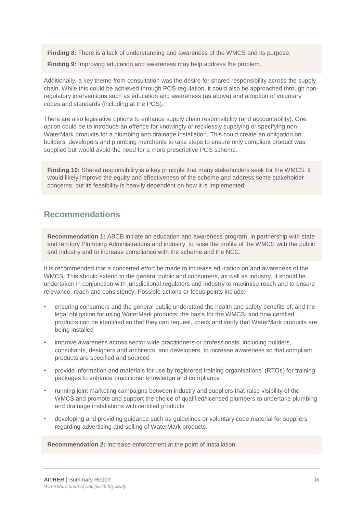**Finding 8:** There is a lack of understanding and awareness of the WMCS and its purpose.

**Finding 9:** Improving education and awareness may help address the problem.

Additionally, a key theme from consultation was the desire for shared responsibility across the supply chain. While this could be achieved through POS regulation, it could also be approached through nonregulatory interventions such as education and awareness (as above) and adoption of voluntary codes and standards (including at the POS).

There are also legislative options to enhance supply chain responsibility (and accountability). One option could be to introduce an offence for knowingly or recklessly supplying or specifying non-WaterMark products for a plumbing and drainage installation. This could create an obligation on builders, developers and plumbing merchants to take steps to ensure only compliant product was supplied but would avoid the need for a more prescriptive POS scheme.

**Finding 10:** Shared responsibility is a key principle that many stakeholders seek for the WMCS. It would likely improve the equity and effectiveness of the scheme and address some stakeholder concerns, but its feasibility is heavily dependent on how it is implemented.

### **Recommendations**

**Recommendation 1:** ABCB initiate an education and awareness program, in partnership with state and territory Plumbing Administrations and industry, to raise the profile of the WMCS with the public and industry and to increase compliance with the scheme and the NCC.

It is recommended that a concerted effort be made to increase education on and awareness of the WMCS. This should extend to the general public and consumers, as well as industry. It should be undertaken in conjunction with jurisdictional regulators and industry to maximise reach and to ensure relevance, reach and consistency. Possible actions or focus points include:

- ensuring consumers and the general public understand the health and safety benefits of, and the legal obligation for using WaterMark products; the basis for the WMCS; and how certified products can be identified so that they can request, check and verify that WaterMark products are being installed
- improve awareness across sector wide practitioners or professionals, including builders, consultants, designers and architects, and developers, to increase awareness so that compliant products are specified and sourced
- provide information and materials for use by registered training organisations' (RTOs) for training packages to enhance practitioner knowledge and compliance
- running joint marketing campaigns between industry and suppliers that raise visibility of the WMCS and promote and support the choice of qualified/licensed plumbers to undertake plumbing and drainage installations with certified products
- developing and providing guidance such as guidelines or voluntary code material for suppliers regarding advertising and selling of WaterMark products.

**Recommendation 2:** Increase enforcement at the point of installation.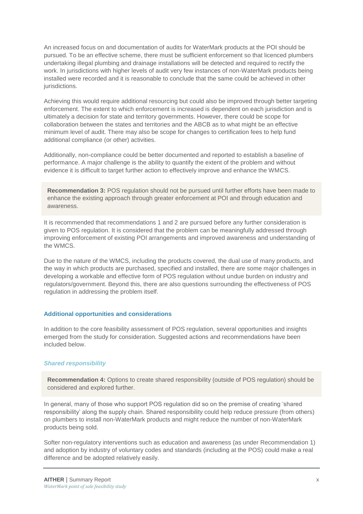An increased focus on and documentation of audits for WaterMark products at the POI should be pursued. To be an effective scheme, there must be sufficient enforcement so that licenced plumbers undertaking illegal plumbing and drainage installations will be detected and required to rectify the work. In jurisdictions with higher levels of audit very few instances of non-WaterMark products being installed were recorded and it is reasonable to conclude that the same could be achieved in other **jurisdictions** 

Achieving this would require additional resourcing but could also be improved through better targeting enforcement. The extent to which enforcement is increased is dependent on each jurisdiction and is ultimately a decision for state and territory governments. However, there could be scope for collaboration between the states and territories and the ABCB as to what might be an effective minimum level of audit. There may also be scope for changes to certification fees to help fund additional compliance (or other) activities.

Additionally, non-compliance could be better documented and reported to establish a baseline of performance. A major challenge is the ability to quantify the extent of the problem and without evidence it is difficult to target further action to effectively improve and enhance the WMCS.

**Recommendation 3:** POS regulation should not be pursued until further efforts have been made to enhance the existing approach through greater enforcement at POI and through education and awareness.

It is recommended that recommendations 1 and 2 are pursued before any further consideration is given to POS regulation. It is considered that the problem can be meaningfully addressed through improving enforcement of existing POI arrangements and improved awareness and understanding of the WMCS.

Due to the nature of the WMCS, including the products covered, the dual use of many products, and the way in which products are purchased, specified and installed, there are some major challenges in developing a workable and effective form of POS regulation without undue burden on industry and regulators/government. Beyond this, there are also questions surrounding the effectiveness of POS regulation in addressing the problem itself.

### **Additional opportunities and considerations**

In addition to the core feasibility assessment of POS regulation, several opportunities and insights emerged from the study for consideration. Suggested actions and recommendations have been included below.

### *Shared responsibility*

**Recommendation 4:** Options to create shared responsibility (outside of POS regulation) should be considered and explored further.

In general, many of those who support POS regulation did so on the premise of creating 'shared responsibility' along the supply chain. Shared responsibility could help reduce pressure (from others) on plumbers to install non-WaterMark products and might reduce the number of non-WaterMark products being sold.

Softer non-regulatory interventions such as education and awareness (as under Recommendation 1) and adoption by industry of voluntary codes and standards (including at the POS) could make a real difference and be adopted relatively easily.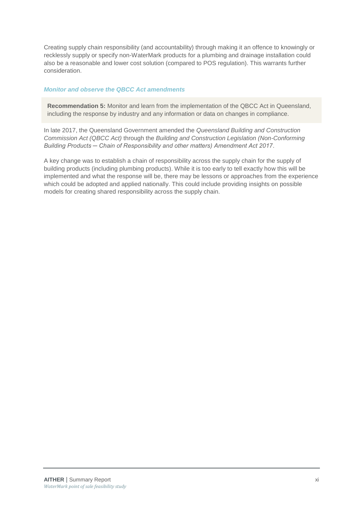Creating supply chain responsibility (and accountability) through making it an offence to knowingly or recklessly supply or specify non-WaterMark products for a plumbing and drainage installation could also be a reasonable and lower cost solution (compared to POS regulation). This warrants further consideration.

### *Monitor and observe the QBCC Act amendments*

**Recommendation 5:** Monitor and learn from the implementation of the QBCC Act in Queensland, including the response by industry and any information or data on changes in compliance*.* 

In late 2017, the Queensland Government amended the *Queensland Building and Construction Commission Act (QBCC Act)* through the *Building and Construction Legislation (Non-Conforming Building Products ─ Chain of Responsibility and other matters) Amendment Act 2017*.

A key change was to establish a chain of responsibility across the supply chain for the supply of building products (including plumbing products). While it is too early to tell exactly how this will be implemented and what the response will be, there may be lessons or approaches from the experience which could be adopted and applied nationally. This could include providing insights on possible models for creating shared responsibility across the supply chain.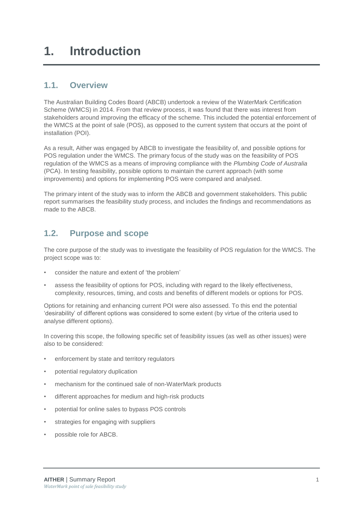### <span id="page-13-1"></span><span id="page-13-0"></span>**1.1. Overview**

The Australian Building Codes Board (ABCB) undertook a review of the WaterMark Certification Scheme (WMCS) in 2014. From that review process, it was found that there was interest from stakeholders around improving the efficacy of the scheme. This included the potential enforcement of the WMCS at the point of sale (POS), as opposed to the current system that occurs at the point of installation (POI).

As a result, Aither was engaged by ABCB to investigate the feasibility of, and possible options for POS regulation under the WMCS. The primary focus of the study was on the feasibility of POS regulation of the WMCS as a means of improving compliance with the *Plumbing Code of Australia* (PCA). In testing feasibility, possible options to maintain the current approach (with some improvements) and options for implementing POS were compared and analysed.

The primary intent of the study was to inform the ABCB and government stakeholders. This public report summarises the feasibility study process, and includes the findings and recommendations as made to the ABCB.

### <span id="page-13-2"></span>**1.2. Purpose and scope**

The core purpose of the study was to investigate the feasibility of POS regulation for the WMCS. The project scope was to:

- consider the nature and extent of 'the problem'
- assess the feasibility of options for POS, including with regard to the likely effectiveness, complexity, resources, timing, and costs and benefits of different models or options for POS.

Options for retaining and enhancing current POI were also assessed. To this end the potential 'desirability' of different options was considered to some extent (by virtue of the criteria used to analyse different options).

In covering this scope, the following specific set of feasibility issues (as well as other issues) were also to be considered:

- enforcement by state and territory regulators
- potential regulatory duplication
- mechanism for the continued sale of non-WaterMark products
- different approaches for medium and high-risk products
- potential for online sales to bypass POS controls
- strategies for engaging with suppliers
- possible role for ABCB.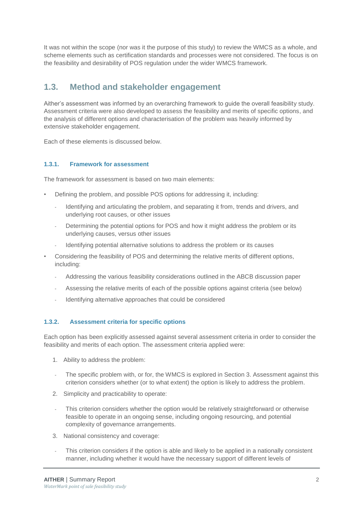It was not within the scope (nor was it the purpose of this study) to review the WMCS as a whole, and scheme elements such as certification standards and processes were not considered. The focus is on the feasibility and desirability of POS regulation under the wider WMCS framework.

### <span id="page-14-0"></span>**1.3. Method and stakeholder engagement**

Aither's assessment was informed by an overarching framework to guide the overall feasibility study. Assessment criteria were also developed to assess the feasibility and merits of specific options, and the analysis of different options and characterisation of the problem was heavily informed by extensive stakeholder engagement.

Each of these elements is discussed below.

### **1.3.1. Framework for assessment**

The framework for assessment is based on two main elements:

- Defining the problem, and possible POS options for addressing it, including:
	- Identifying and articulating the problem, and separating it from, trends and drivers, and underlying root causes, or other issues
	- Determining the potential options for POS and how it might address the problem or its underlying causes, versus other issues
	- Identifying potential alternative solutions to address the problem or its causes
- Considering the feasibility of POS and determining the relative merits of different options, including:
	- Addressing the various feasibility considerations outlined in the ABCB discussion paper
	- Assessing the relative merits of each of the possible options against criteria (see below)
	- Identifying alternative approaches that could be considered

### <span id="page-14-1"></span>**1.3.2. Assessment criteria for specific options**

Each option has been explicitly assessed against several assessment criteria in order to consider the feasibility and merits of each option. The assessment criteria applied were:

- 1. Ability to address the problem:
- The specific problem with, or for, the WMCS is explored in Section 3. Assessment against this criterion considers whether (or to what extent) the option is likely to address the problem.
- 2. Simplicity and practicability to operate:
- This criterion considers whether the option would be relatively straightforward or otherwise feasible to operate in an ongoing sense, including ongoing resourcing, and potential complexity of governance arrangements.
- 3. National consistency and coverage:
- This criterion considers if the option is able and likely to be applied in a nationally consistent manner, including whether it would have the necessary support of different levels of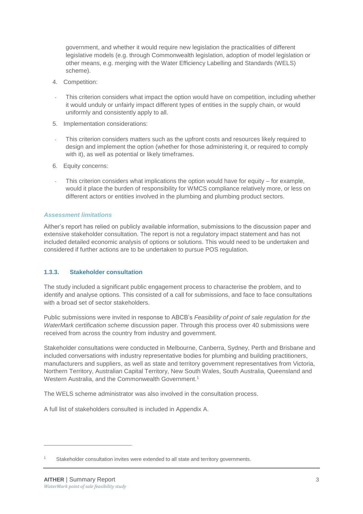government, and whether it would require new legislation the practicalities of different legislative models (e.g. through Commonwealth legislation, adoption of model legislation or other means, e.g. merging with the Water Efficiency Labelling and Standards (WELS) scheme).

- 4. Competition:
- This criterion considers what impact the option would have on competition, including whether it would unduly or unfairly impact different types of entities in the supply chain, or would uniformly and consistently apply to all.
- 5. Implementation considerations:
- This criterion considers matters such as the upfront costs and resources likely required to design and implement the option (whether for those administering it, or required to comply with it), as well as potential or likely timeframes.
- 6. Equity concerns:
- This criterion considers what implications the option would have for equity  $-$  for example, would it place the burden of responsibility for WMCS compliance relatively more, or less on different actors or entities involved in the plumbing and plumbing product sectors.

### *Assessment limitations*

Aither's report has relied on publicly available information, submissions to the discussion paper and extensive stakeholder consultation. The report is not a regulatory impact statement and has not included detailed economic analysis of options or solutions. This would need to be undertaken and considered if further actions are to be undertaken to pursue POS regulation.

### **1.3.3. Stakeholder consultation**

The study included a significant public engagement process to characterise the problem, and to identify and analyse options. This consisted of a call for submissions, and face to face consultations with a broad set of sector stakeholders.

Public submissions were invited in response to ABCB's *Feasibility of point of sale regulation for the WaterMark certification scheme* discussion paper. Through this process over 40 submissions were received from across the country from industry and government.

Stakeholder consultations were conducted in Melbourne, Canberra, Sydney, Perth and Brisbane and included conversations with industry representative bodies for plumbing and building practitioners, manufacturers and suppliers, as well as state and territory government representatives from Victoria, Northern Territory, Australian Capital Territory, New South Wales, South Australia, Queensland and Western Australia, and the Commonwealth Government. 1

The WELS scheme administrator was also involved in the consultation process.

A full list of stakeholders consulted is included in Appendix A.

-

Stakeholder consultation invites were extended to all state and territory governments.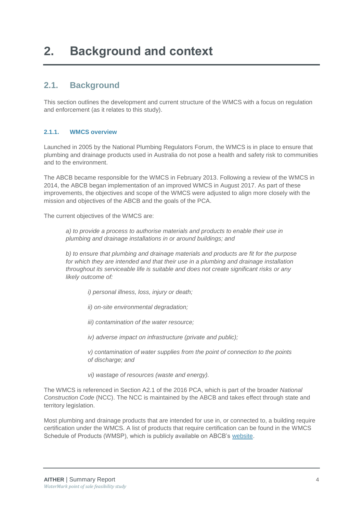### <span id="page-16-1"></span><span id="page-16-0"></span>**2.1. Background**

This section outlines the development and current structure of the WMCS with a focus on regulation and enforcement (as it relates to this study).

### <span id="page-16-2"></span>**2.1.1. WMCS overview**

Launched in 2005 by the National Plumbing Regulators Forum, the WMCS is in place to ensure that plumbing and drainage products used in Australia do not pose a health and safety risk to communities and to the environment.

The ABCB became responsible for the WMCS in February 2013. Following a review of the WMCS in 2014, the ABCB began implementation of an improved WMCS in August 2017. As part of these improvements, the objectives and scope of the WMCS were adjusted to align more closely with the mission and objectives of the ABCB and the goals of the PCA.

The current objectives of the WMCS are:

*a) to provide a process to authorise materials and products to enable their use in plumbing and drainage installations in or around buildings; and* 

*b) to ensure that plumbing and drainage materials and products are fit for the purpose for which they are intended and that their use in a plumbing and drainage installation throughout its serviceable life is suitable and does not create significant risks or any likely outcome of:* 

*i) personal illness, loss, injury or death;* 

*ii) on-site environmental degradation;* 

*iii) contamination of the water resource;* 

*iv) adverse impact on infrastructure (private and public);* 

*v) contamination of water supplies from the point of connection to the points of discharge; and* 

*vi) wastage of resources (waste and energy).*

The WMCS is referenced in Section A2.1 of the 2016 PCA, which is part of the broader *National Construction Code* (NCC). The NCC is maintained by the ABCB and takes effect through state and territory legislation.

Most plumbing and drainage products that are intended for use in, or connected to, a building require certification under the WMCS. A list of products that require certification can be found in the WMCS Schedule of Products (WMSP), which is publicly available on ABCB's [website.](https://www.abcb.gov.au/Resources/Publications/Certification/Schedule-of-Products)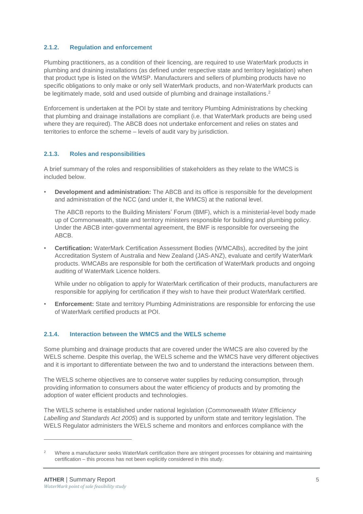### **2.1.2. Regulation and enforcement**

Plumbing practitioners, as a condition of their licencing, are required to use WaterMark products in plumbing and draining installations (as defined under respective state and territory legislation) when that product type is listed on the WMSP. Manufacturers and sellers of plumbing products have no specific obligations to only make or only sell WaterMark products, and non-WaterMark products can be legitimately made, sold and used outside of plumbing and drainage installations. 2

Enforcement is undertaken at the POI by state and territory Plumbing Administrations by checking that plumbing and drainage installations are compliant (i.e. that WaterMark products are being used where they are required). The ABCB does not undertake enforcement and relies on states and territories to enforce the scheme – levels of audit vary by jurisdiction.

### **2.1.3. Roles and responsibilities**

A brief summary of the roles and responsibilities of stakeholders as they relate to the WMCS is included below.

• **Development and administration:** The ABCB and its office is responsible for the development and administration of the NCC (and under it, the WMCS) at the national level.

The ABCB reports to the Building Ministers' Forum (BMF), which is a ministerial-level body made up of Commonwealth, state and territory ministers responsible for building and plumbing policy. Under the ABCB inter-governmental agreement, the BMF is responsible for overseeing the ABCB.

• **Certification:** WaterMark Certification Assessment Bodies (WMCABs), accredited by the joint Accreditation System of Australia and New Zealand (JAS-ANZ), evaluate and certify WaterMark products. WMCABs are responsible for both the certification of WaterMark products and ongoing auditing of WaterMark Licence holders.

While under no obligation to apply for WaterMark certification of their products, manufacturers are responsible for applying for certification if they wish to have their product WaterMark certified.

**Enforcement:** State and territory Plumbing Administrations are responsible for enforcing the use of WaterMark certified products at POI.

### <span id="page-17-0"></span>**2.1.4. Interaction between the WMCS and the WELS scheme**

Some plumbing and drainage products that are covered under the WMCS are also covered by the WELS scheme. Despite this overlap, the WELS scheme and the WMCS have very different objectives and it is important to differentiate between the two and to understand the interactions between them.

The WELS scheme objectives are to conserve water supplies by reducing consumption, through providing information to consumers about the water efficiency of products and by promoting the adoption of water efficient products and technologies.

The WELS scheme is established under national legislation (*Commonwealth Water Efficiency Labelling and Standards Act 2005*) and is supported by uniform state and territory legislation. The WELS Regulator administers the WELS scheme and monitors and enforces compliance with the

-

<sup>2</sup> Where a manufacturer seeks WaterMark certification there are stringent processes for obtaining and maintaining certification – this process has not been explicitly considered in this study.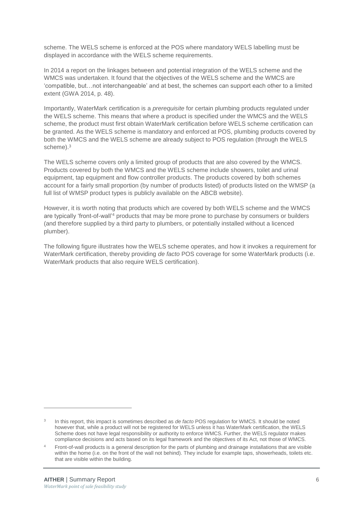scheme. The WELS scheme is enforced at the POS where mandatory WELS labelling must be displayed in accordance with the WELS scheme requirements.

In 2014 a report on the linkages between and potential integration of the WELS scheme and the WMCS was undertaken. It found that the objectives of the WELS scheme and the WMCS are 'compatible, but…not interchangeable' and at best, the schemes can support each other to a limited extent (GWA 2014, p. 48).

Importantly, WaterMark certification is a *prerequisite* for certain plumbing products regulated under the WELS scheme. This means that where a product is specified under the WMCS and the WELS scheme, the product must first obtain WaterMark certification before WELS scheme certification can be granted. As the WELS scheme is mandatory and enforced at POS, plumbing products covered by both the WMCS and the WELS scheme are already subject to POS regulation (through the WELS scheme).<sup>3</sup>

The WELS scheme covers only a limited group of products that are also covered by the WMCS. Products covered by both the WMCS and the WELS scheme include showers, toilet and urinal equipment, tap equipment and flow controller products. The products covered by both schemes account for a fairly small proportion (by number of products listed) of products listed on the WMSP (a full list of WMSP product types is publicly available on the ABCB website).

However, it is worth noting that products which are covered by both WELS scheme and the WMCS are typically 'front-of-wall'<sup>4</sup> products that may be more prone to purchase by consumers or builders (and therefore supplied by a third party to plumbers, or potentially installed without a licenced plumber).

The following figure illustrates how the WELS scheme operates, and how it invokes a requirement for WaterMark certification, thereby providing *de facto* POS coverage for some WaterMark products (i.e. WaterMark products that also require WELS certification).

 $\overline{a}$ 

<sup>3</sup> In this report, this impact is sometimes described as *de facto* POS regulation for WMCS. It should be noted however that, while a product will not be registered for WELS unless it has WaterMark certification, the WELS Scheme does not have legal responsibility or authority to enforce WMCS. Further, the WELS regulator makes compliance decisions and acts based on its legal framework and the objectives of its Act, not those of WMCS.

<sup>4</sup> Front-of-wall products is a general description for the parts of plumbing and drainage installations that are visible within the home (i.e. on the front of the wall not behind). They include for example taps, showerheads, toilets etc. that are visible within the building.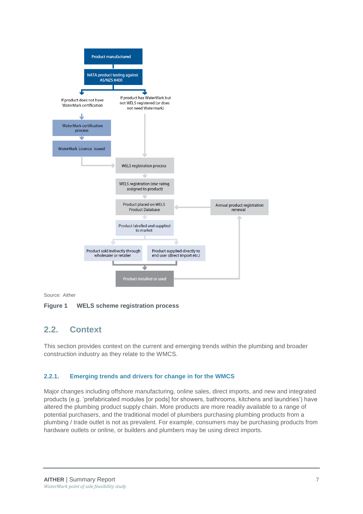

Source: Aither

### <span id="page-19-0"></span>**Figure 1 WELS scheme registration process**

### **2.2. Context**

This section provides context on the current and emerging trends within the plumbing and broader construction industry as they relate to the WMCS.

### **2.2.1. Emerging trends and drivers for change in for the WMCS**

Major changes including offshore manufacturing, online sales, direct imports, and new and integrated products (e.g. 'prefabricated modules [or pods] for showers, bathrooms, kitchens and laundries') have altered the plumbing product supply chain. More products are more readily available to a range of potential purchasers, and the traditional model of plumbers purchasing plumbing products from a plumbing / trade outlet is not as prevalent. For example, consumers may be purchasing products from hardware outlets or online, or builders and plumbers may be using direct imports.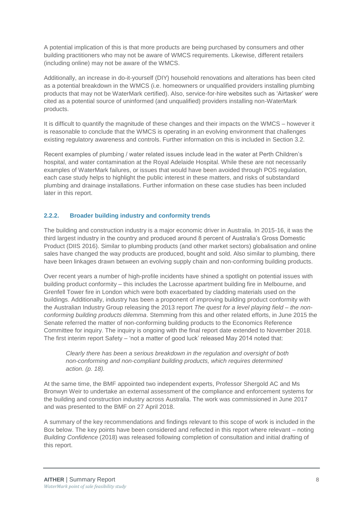A potential implication of this is that more products are being purchased by consumers and other building practitioners who may not be aware of WMCS requirements. Likewise, different retailers (including online) may not be aware of the WMCS.

Additionally, an increase in do-it-yourself (DIY) household renovations and alterations has been cited as a potential breakdown in the WMCS (i.e. homeowners or unqualified providers installing plumbing products that may not be WaterMark certified). Also, service-for-hire websites such as 'Airtasker' were cited as a potential source of uninformed (and unqualified) providers installing non-WaterMark products.

It is difficult to quantify the magnitude of these changes and their impacts on the WMCS – however it is reasonable to conclude that the WMCS is operating in an evolving environment that challenges existing regulatory awareness and controls. Further information on this is included in Section [3.2.](#page-22-2)

Recent examples of plumbing / water related issues include lead in the water at Perth Children's hospital, and water contamination at the Royal Adelaide Hospital. While these are not necessarily examples of WaterMark failures, or issues that would have been avoided through POS regulation, each case study helps to highlight the public interest in these matters, and risks of substandard plumbing and drainage installations. Further information on these case studies has been included later in this report.

### **2.2.2. Broader building industry and conformity trends**

The building and construction industry is a major economic driver in Australia. In 2015-16, it was the third largest industry in the country and produced around 8 percent of Australia's Gross Domestic Product (DIIS 2016). Similar to plumbing products (and other market sectors) globalisation and online sales have changed the way products are produced, bought and sold. Also similar to plumbing, there have been linkages drawn between an evolving supply chain and non-conforming building products.

Over recent years a number of high-profile incidents have shined a spotlight on potential issues with building product conformity – this includes the Lacrosse apartment building fire in Melbourne, and Grenfell Tower fire in London which were both exacerbated by cladding materials used on the buildings. Additionally, industry has been a proponent of improving building product conformity with the Australian Industry Group releasing the 2013 report *The quest for a level playing field – the nonconforming building products dilemma*. Stemming from this and other related efforts, in June 2015 the Senate referred the matter of non-conforming building products to the Economics Reference Committee for inquiry. The inquiry is ongoing with the final report date extended to November 2018. The first interim report Safety – 'not a matter of good luck' released May 2014 noted that:

### *Clearly there has been a serious breakdown in the regulation and oversight of both non-conforming and non-compliant building products, which requires determined action. (p. 18).*

At the same time, the BMF appointed two independent experts, Professor Shergold AC and Ms Bronwyn Weir to undertake an external assessment of the compliance and enforcement systems for the building and construction industry across Australia. The work was commissioned in June 2017 and was presented to the BMF on 27 April 2018.

A summary of the key recommendations and findings relevant to this scope of work is included in the Box below. The key points have been considered and reflected in this report where relevant – noting *Building Confidence* (2018) was released following completion of consultation and initial drafting of this report.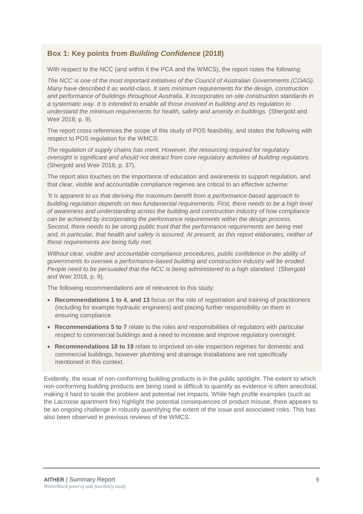### **Box 1: Key points from** *Building Confidence* **(2018)**

With respect to the NCC (and within it the PCA and the WMCS), the report notes the following:

*The NCC is one of the most important initiatives of the Council of Australian Governments (COAG). Many have described it as world-class. It sets minimum requirements for the design, construction and performance of buildings throughout Australia. It incorporates on-site construction standards in a systematic way. It is intended to enable all those involved in building and its regulation to understand the minimum requirements for health, safety and amenity in buildings.* (Shergold and Weir 2018; p. 9).

The report cross references the scope of this study of POS feasibility, and states the following with respect to POS regulation for the WMCS:

*The regulation of supply chains has merit. However, the resourcing required for regulatory oversight is significant and should not detract from core regulatory activities of building regulators.*  (Shergold and Weir 2018; p. 37).

The report also touches on the importance of education and awareness to support regulation, and that clear, visible and accountable compliance regimes are critical to an effective scheme:

*'It is apparent to us that deriving the maximum benefit from a performance-based approach to building regulation depends on two fundamental requirements. First, there needs to be a high level of awareness and understanding across the building and construction industry of how compliance can be achieved by incorporating the performance requirements within the design process. Second, there needs to be strong public trust that the performance requirements are being met and, in particular, that health and safety is assured. At present, as this report elaborates, neither of these requirements are being fully met.* 

*Without clear, visible and accountable compliance procedures, public confidence in the ability of governments to oversee a performance-based building and construction industry will be eroded. People need to be persuaded that the NCC is being administered to a high standard.'* (Shergold and Weir 2018, p. 9).

The following recommendations are of relevance to this study:

- **Recommendations 1 to 4, and 13** focus on the role of registration and training of practitioners (including for example hydraulic engineers) and placing further responsibility on them in ensuring compliance.
- **Recommendations 5 to 7** relate to the roles and responsibilities of regulators with particular respect to commercial buildings and a need to increase and improve regulatory oversight.
- **Recommendations 18 to 19** relate to improved on-site inspection regimes for domestic and commercial buildings, however plumbing and drainage installations are not specifically mentioned in this context.

Evidently, the issue of non-conforming building products is in the public spotlight. The extent to which non-conforming building products are being used is difficult to quantify as evidence is often anecdotal, making it hard to scale the problem and potential net impacts. While high profile examples (such as the Lacrosse apartment fire) highlight the potential consequences of product misuse, there appears to be an ongoing challenge in robustly quantifying the extent of the issue and associated risks. This has also been observed in previous reviews of the WMCS.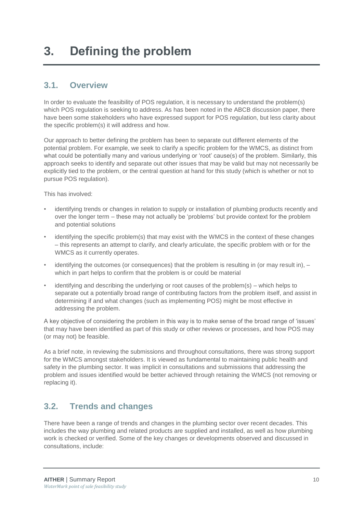### <span id="page-22-1"></span><span id="page-22-0"></span>**3.1. Overview**

In order to evaluate the feasibility of POS regulation, it is necessary to understand the problem(s) which POS regulation is seeking to address. As has been noted in the ABCB discussion paper, there have been some stakeholders who have expressed support for POS regulation, but less clarity about the specific problem(s) it will address and how.

Our approach to better defining the problem has been to separate out different elements of the potential problem. For example, we seek to clarify a specific problem for the WMCS, as distinct from what could be potentially many and various underlying or 'root' cause(s) of the problem. Similarly, this approach seeks to identify and separate out other issues that may be valid but may not necessarily be explicitly tied to the problem, or the central question at hand for this study (which is whether or not to pursue POS regulation).

This has involved:

- identifying trends or changes in relation to supply or installation of plumbing products recently and over the longer term – these may not actually be 'problems' but provide context for the problem and potential solutions
- identifying the specific problem(s) that may exist with the WMCS in the context of these changes – this represents an attempt to clarify, and clearly articulate, the specific problem with or for the WMCS as it currently operates.
- identifying the outcomes (or consequences) that the problem is resulting in (or may result in),  $$ which in part helps to confirm that the problem is or could be material
- identifying and describing the underlying or root causes of the problem(s) which helps to separate out a potentially broad range of contributing factors from the problem itself, and assist in determining if and what changes (such as implementing POS) might be most effective in addressing the problem.

A key objective of considering the problem in this way is to make sense of the broad range of 'issues' that may have been identified as part of this study or other reviews or processes, and how POS may (or may not) be feasible.

As a brief note, in reviewing the submissions and throughout consultations, there was strong support for the WMCS amongst stakeholders. It is viewed as fundamental to maintaining public health and safety in the plumbing sector. It was implicit in consultations and submissions that addressing the problem and issues identified would be better achieved through retaining the WMCS (not removing or replacing it).

### <span id="page-22-2"></span>**3.2. Trends and changes**

There have been a range of trends and changes in the plumbing sector over recent decades. This includes the way plumbing and related products are supplied and installed, as well as how plumbing work is checked or verified. Some of the key changes or developments observed and discussed in consultations, include: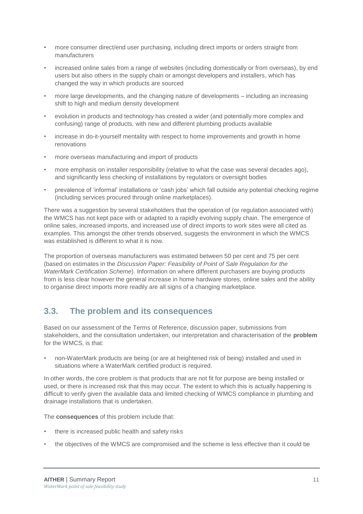- more consumer direct/end user purchasing, including direct imports or orders straight from manufacturers
- increased online sales from a range of websites (including domestically or from overseas), by end users but also others in the supply chain or amongst developers and installers, which has changed the way in which products are sourced
- more large developments, and the changing nature of developments including an increasing shift to high and medium density development
- evolution in products and technology has created a wider (and potentially more complex and confusing) range of products, with new and different plumbing products available
- increase in do-it-yourself mentality with respect to home improvements and growth in home renovations
- more overseas manufacturing and import of products
- more emphasis on installer responsibility (relative to what the case was several decades ago), and significantly less checking of installations by regulators or oversight bodies
- prevalence of 'informal' installations or 'cash jobs' which fall outside any potential checking regime (including services procured through online marketplaces).

There was a suggestion by several stakeholders that the operation of (or regulation associated with) the WMCS has not kept pace with or adapted to a rapidly evolving supply chain. The emergence of online sales, increased imports, and increased use of direct imports to work sites were all cited as examples. This amongst the other trends observed, suggests the environment in which the WMCS was established is different to what it is now.

The proportion of overseas manufacturers was estimated between 50 per cent and 75 per cent (based on estimates in the *Discussion Paper: Feasibility of Point of Sale Regulation for the WaterMark Certification Scheme*). Information on where different purchasers are buying products from is less clear however the general increase in home hardware stores, online sales and the ability to organise direct imports more readily are all signs of a changing marketplace.

### <span id="page-23-0"></span>**3.3. The problem and its consequences**

Based on our assessment of the Terms of Reference, discussion paper, submissions from stakeholders, and the consultation undertaken, our interpretation and characterisation of the **problem** for the WMCS, is that:

• non-WaterMark products are being (or are at heightened risk of being) installed and used in situations where a WaterMark certified product is required.

In other words, the core problem is that products that are not fit for purpose are being installed or used, or there is increased risk that this may occur. The extent to which this is actually happening is difficult to verify given the available data and limited checking of WMCS compliance in plumbing and drainage installations that is undertaken.

The **consequences** of this problem include that:

- there is increased public health and safety risks
- the objectives of the WMCS are compromised and the scheme is less effective than it could be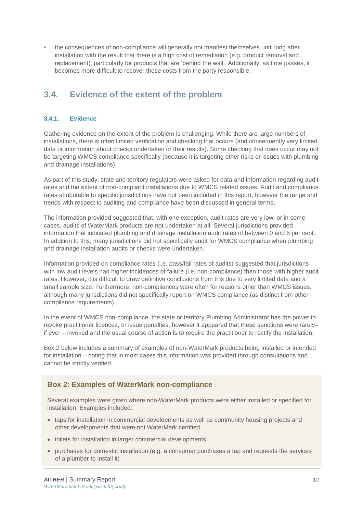• the consequences of non-compliance will generally not manifest themselves until long after installation with the result that there is a high cost of remediation (e.g. product removal and replacement), particularly for products that are 'behind the wall'. Additionally, as time passes, it becomes more difficult to recover those costs from the party responsible.

### <span id="page-24-0"></span>**3.4. Evidence of the extent of the problem**

### <span id="page-24-1"></span>**3.4.1. Evidence**

Gathering evidence on the extent of the problem is challenging. While there are large numbers of installations, there is often limited verification and checking that occurs (and consequently very limited data or information about checks undertaken or their results). Some checking that does occur may not be targeting WMCS compliance specifically (because it is targeting other risks or issues with plumbing and drainage installations).

As part of this study, state and territory regulators were asked for data and information regarding audit rates and the extent of non-compliant installations due to WMCS related issues. Audit and compliance rates attributable to specific jurisdictions have not been included in this report, however the range and trends with respect to auditing and compliance have been discussed in general terms.

The information provided suggested that, with one exception, audit rates are very low, or in some cases, audits of WaterMark products are not undertaken at all. Several jurisdictions provided information that indicated plumbing and drainage installation audit rates of between 0 and 5 per cent. In addition to this, many jurisdictions did not specifically audit for WMCS compliance when plumbing and drainage installation audits or checks were undertaken.

Information provided on compliance rates (i.e. pass/fail rates of audits) suggested that jurisdictions with low audit levels had higher incidences of failure (i.e. non-compliance) than those with higher audit rates. However, it is difficult to draw definitive conclusions from this due to very limited data and a small sample size. Furthermore, non-compliances were often for reasons other than WMCS issues, although many jurisdictions did not specifically report on WMCS compliance (as distinct from other compliance requirements).

In the event of WMCS non-compliance, the state or territory Plumbing Administrator has the power to revoke practitioner licences, or issue penalties, however it appeared that these sanctions were rarely– if ever – invoked and the usual course of action is to require the practitioner to rectify the installation.

Box 2 below includes a summary of examples of non-WaterMark products being installed or intended for installation – noting that in most cases this information was provided through consultations and cannot be strictly verified.

### **Box 2: Examples of WaterMark non-compliance**

Several examples were given where non-WaterMark products were either installed or specified for installation. Examples included:

- taps for installation in commercial developments as well as community housing projects and other developments that were not WaterMark certified
- toilets for installation in larger commercial developments
- purchases for domestic installation (e.g. a consumer purchases a tap and requests the services of a plumber to install it)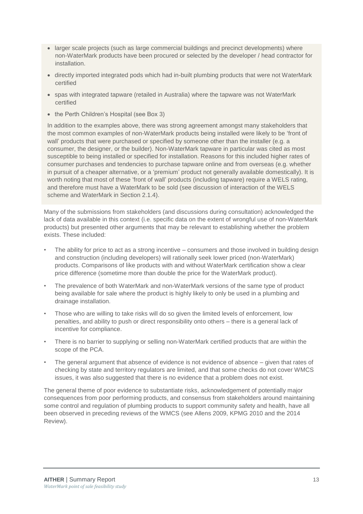- larger scale projects (such as large commercial buildings and precinct developments) where non-WaterMark products have been procured or selected by the developer / head contractor for installation.
- directly imported integrated pods which had in-built plumbing products that were not WaterMark certified
- spas with integrated tapware (retailed in Australia) where the tapware was not WaterMark certified
- the Perth Children's Hospital (see Box 3)

In addition to the examples above, there was strong agreement amongst many stakeholders that the most common examples of non-WaterMark products being installed were likely to be 'front of wall' products that were purchased or specified by someone other than the installer (e.g. a consumer, the designer, or the builder). Non-WaterMark tapware in particular was cited as most susceptible to being installed or specified for installation. Reasons for this included higher rates of consumer purchases and tendencies to purchase tapware online and from overseas (e.g. whether in pursuit of a cheaper alternative, or a 'premium' product not generally available domestically). It is worth noting that most of these 'front of wall' products (including tapware) require a WELS rating, and therefore must have a WaterMark to be sold (see discussion of interaction of the WELS scheme and WaterMark in Section [2.1.4\)](#page-17-0).

Many of the submissions from stakeholders (and discussions during consultation) acknowledged the lack of data available in this context (i.e. specific data on the extent of wrongful use of non-WaterMark products) but presented other arguments that may be relevant to establishing whether the problem exists. These included:

- The ability for price to act as a strong incentive  $-$  consumers and those involved in building design and construction (including developers) will rationally seek lower priced (non-WaterMark) products. Comparisons of like products with and without WaterMark certification show a clear price difference (sometime more than double the price for the WaterMark product).
- The prevalence of both WaterMark and non-WaterMark versions of the same type of product being available for sale where the product is highly likely to only be used in a plumbing and drainage installation.
- Those who are willing to take risks will do so given the limited levels of enforcement, low penalties, and ability to push or direct responsibility onto others – there is a general lack of incentive for compliance.
- There is no barrier to supplying or selling non-WaterMark certified products that are within the scope of the PCA.
- The general argument that absence of evidence is not evidence of absence given that rates of checking by state and territory regulators are limited, and that some checks do not cover WMCS issues, it was also suggested that there is no evidence that a problem does not exist.

The general theme of poor evidence to substantiate risks, acknowledgement of potentially major consequences from poor performing products, and consensus from stakeholders around maintaining some control and regulation of plumbing products to support community safety and health, have all been observed in preceding reviews of the WMCS (see Allens 2009, KPMG 2010 and the 2014 Review).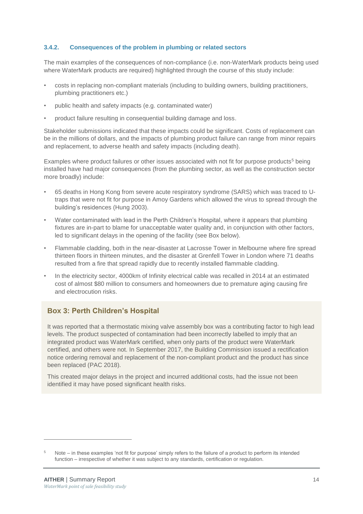### **3.4.2. Consequences of the problem in plumbing or related sectors**

The main examples of the consequences of non-compliance (i.e. non-WaterMark products being used where WaterMark products are required) highlighted through the course of this study include:

- costs in replacing non-compliant materials (including to building owners, building practitioners, plumbing practitioners etc.)
- public health and safety impacts (e.g. contaminated water)
- product failure resulting in consequential building damage and loss.

Stakeholder submissions indicated that these impacts could be significant. Costs of replacement can be in the millions of dollars, and the impacts of plumbing product failure can range from minor repairs and replacement, to adverse health and safety impacts (including death).

Examples where product failures or other issues associated with not fit for purpose products<sup>5</sup> being installed have had major consequences (from the plumbing sector, as well as the construction sector more broadly) include:

- 65 deaths in Hong Kong from severe acute respiratory syndrome (SARS) which was traced to Utraps that were not fit for purpose in Amoy Gardens which allowed the virus to spread through the building's residences (Hung 2003).
- Water contaminated with lead in the Perth Children's Hospital, where it appears that plumbing fixtures are in-part to blame for unacceptable water quality and, in conjunction with other factors, led to significant delays in the opening of the facility (see Box below).
- Flammable cladding, both in the near-disaster at Lacrosse Tower in Melbourne where fire spread thirteen floors in thirteen minutes, and the disaster at Grenfell Tower in London where 71 deaths resulted from a fire that spread rapidly due to recently installed flammable cladding.
- In the electricity sector, 4000km of Infinity electrical cable was recalled in 2014 at an estimated cost of almost \$80 million to consumers and homeowners due to premature aging causing fire and electrocution risks.

### **Box 3: Perth Children's Hospital**

It was reported that a thermostatic mixing valve assembly box was a contributing factor to high lead levels. The product suspected of contamination had been incorrectly labelled to imply that an integrated product was WaterMark certified, when only parts of the product were WaterMark certified, and others were not. In September 2017, the Building Commission issued a rectification notice ordering removal and replacement of the non-compliant product and the product has since been replaced (PAC 2018).

This created major delays in the project and incurred additional costs, had the issue not been identified it may have posed significant health risks.

-

Note – in these examples 'not fit for purpose' simply refers to the failure of a product to perform its intended function – irrespective of whether it was subject to any standards, certification or regulation.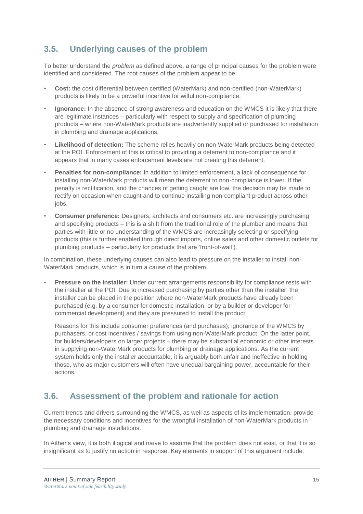### <span id="page-27-0"></span>**3.5. Underlying causes of the problem**

To better understand the *problem* as defined above, a range of principal causes for the problem were identified and considered. The root causes of the problem appear to be:

- **Cost:** the cost differential between certified (WaterMark) and non-certified (non-WaterMark) products is likely to be a powerful incentive for wilful non-compliance.
- **Ignorance:** In the absence of strong awareness and education on the WMCS it is likely that there are legitimate instances – particularly with respect to supply and specification of plumbing products – where non-WaterMark products are inadvertently supplied or purchased for installation in plumbing and drainage applications.
- **Likelihood of detection:** The scheme relies heavily on non-WaterMark products being detected at the POI. Enforcement of this is critical to providing a deterrent to non-compliance and it appears that in many cases enforcement levels are not creating this deterrent.
- **Penalties for non-compliance:** In addition to limited enforcement, a lack of consequence for installing non-WaterMark products will mean the deterrent to non-compliance is lower. If the penalty is rectification, and the chances of getting caught are low, the decision may be made to rectify on occasion when caught and to continue installing non-compliant product across other jobs.
- **Consumer preference:** Designers, architects and consumers etc. are increasingly purchasing and specifying products – this is a shift from the traditional role of the plumber and means that parties with little or no understanding of the WMCS are increasingly selecting or specifying products (this is further enabled through direct imports, online sales and other domestic outlets for plumbing products – particularly for products that are 'front-of-wall').

In combination, these underlying causes can also lead to pressure on the installer to install non-WaterMark products, which is in turn a cause of the problem:

• **Pressure on the installer:** Under current arrangements responsibility for compliance rests with the installer at the POI. Due to increased purchasing by parties other than the installer, the installer can be placed in the position where non-WaterMark products have already been purchased (e.g. by a consumer for domestic installation, or by a builder or developer for commercial development) and they are pressured to install the product.

Reasons for this include consumer preferences (and purchases), ignorance of the WMCS by purchasers, or cost incentives / savings from using non-WaterMark product. On the latter point, for builders/developers on larger projects – there may be substantial economic or other interests in supplying non-WaterMark products for plumbing or drainage applications. As the current system holds only the installer accountable, it is arguably both unfair and ineffective in holding those, who as major customers will often have unequal bargaining power, accountable for their actions.

### <span id="page-27-1"></span>**3.6. Assessment of the problem and rationale for action**

Current trends and drivers surrounding the WMCS, as well as aspects of its implementation, provide the necessary conditions and incentives for the wrongful installation of non-WaterMark products in plumbing and drainage installations.

In Aither's view, it is both illogical and naïve to assume that the problem does not exist, or that it is so insignificant as to justify no action in response. Key elements in support of this argument include: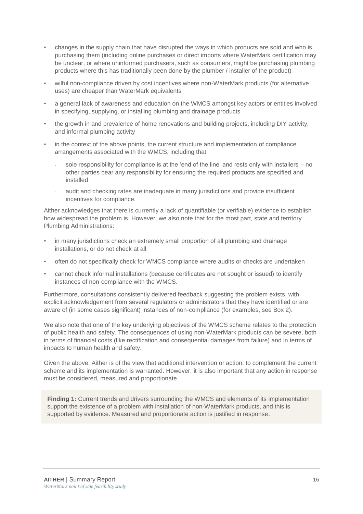- changes in the supply chain that have disrupted the ways in which products are sold and who is purchasing them (including online purchases or direct imports where WaterMark certification may be unclear, or where uninformed purchasers, such as consumers, might be purchasing plumbing products where this has traditionally been done by the plumber / installer of the product)
- wilful non-compliance driven by cost incentives where non-WaterMark products (for alternative uses) are cheaper than WaterMark equivalents
- a general lack of awareness and education on the WMCS amongst key actors or entities involved in specifying, supplying, or installing plumbing and drainage products
- the growth in and prevalence of home renovations and building projects, including DIY activity, and informal plumbing activity
- in the context of the above points, the current structure and implementation of compliance arrangements associated with the WMCS, including that:
	- sole responsibility for compliance is at the 'end of the line' and rests only with installers no other parties bear any responsibility for ensuring the required products are specified and installed
	- audit and checking rates are inadequate in many jurisdictions and provide insufficient incentives for compliance.

Aither acknowledges that there is currently a lack of quantifiable (or verifiable) evidence to establish how widespread the problem is. However, we also note that for the most part, state and territory Plumbing Administrations:

- in many jurisdictions check an extremely small proportion of all plumbing and drainage installations, or do not check at all
- often do not specifically check for WMCS compliance where audits or checks are undertaken
- cannot check informal installations (because certificates are not sought or issued) to identify instances of non-compliance with the WMCS.

Furthermore, consultations consistently delivered feedback suggesting the problem exists, with explicit acknowledgement from several regulators or administrators that they have identified or are aware of (in some cases significant) instances of non-compliance (for examples, see Box 2).

We also note that one of the key underlying objectives of the WMCS scheme relates to the protection of public health and safety. The consequences of using non-WaterMark products can be severe, both in terms of financial costs (like rectification and consequential damages from failure) and in terms of impacts to human health and safety.

Given the above, Aither is of the view that additional intervention or action, to complement the current scheme and its implementation is warranted. However, it is also important that any action in response must be considered, measured and proportionate.

**Finding 1:** Current trends and drivers surrounding the WMCS and elements of its implementation support the existence of a problem with installation of non-WaterMark products, and this is supported by evidence. Measured and proportionate action is justified in response.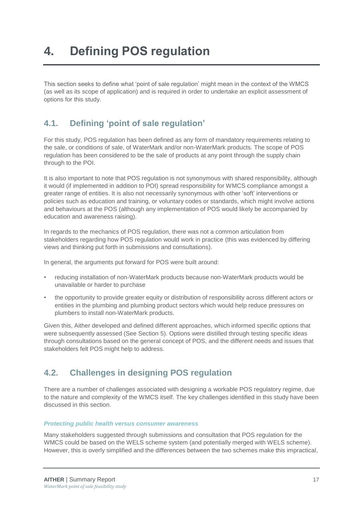<span id="page-29-0"></span>This section seeks to define what 'point of sale regulation' might mean in the context of the WMCS (as well as its scope of application) and is required in order to undertake an explicit assessment of options for this study.

### <span id="page-29-1"></span>**4.1. Defining 'point of sale regulation'**

For this study, POS regulation has been defined as any form of mandatory requirements relating to the sale, or conditions of sale, of WaterMark and/or non-WaterMark products. The scope of POS regulation has been considered to be the sale of products at any point through the supply chain through to the POI.

It is also important to note that POS regulation is not synonymous with shared responsibility, although it would (if implemented in addition to POI) spread responsibility for WMCS compliance amongst a greater range of entities. It is also not necessarily synonymous with other 'soft' interventions or policies such as education and training, or voluntary codes or standards, which might involve actions and behaviours at the POS (although any implementation of POS would likely be accompanied by education and awareness raising).

In regards to the mechanics of POS regulation, there was not a common articulation from stakeholders regarding how POS regulation would work in practice (this was evidenced by differing views and thinking put forth in submissions and consultations).

In general, the arguments put forward for POS were built around:

- reducing installation of non-WaterMark products because non-WaterMark products would be unavailable or harder to purchase
- the opportunity to provide greater equity or distribution of responsibility across different actors or entities in the plumbing and plumbing product sectors which would help reduce pressures on plumbers to install non-WaterMark products.

Given this, Aither developed and defined different approaches, which informed specific options that were subsequently assessed (See Section [5\)](#page-32-0). Options were distilled through testing specific ideas through consultations based on the general concept of POS, and the different needs and issues that stakeholders felt POS might help to address.

### <span id="page-29-2"></span>**4.2. Challenges in designing POS regulation**

There are a number of challenges associated with designing a workable POS regulatory regime, due to the nature and complexity of the WMCS itself. The key challenges identified in this study have been discussed in this section.

### *Protecting public health versus consumer awareness*

Many stakeholders suggested through submissions and consultation that POS regulation for the WMCS could be based on the WELS scheme system (and potentially merged with WELS scheme). However, this is overly simplified and the differences between the two schemes make this impractical,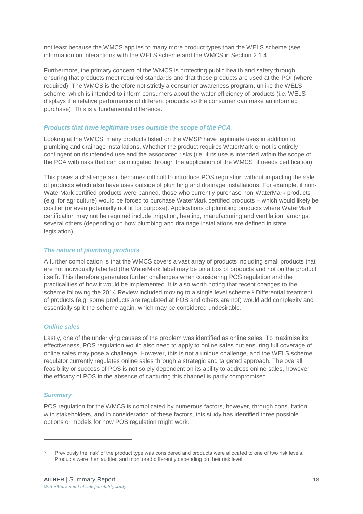not least because the WMCS applies to many more product types than the WELS scheme (see information on interactions with the WELS scheme and the WMCS in Section [2.1.4.](#page-17-0)

Furthermore, the primary concern of the WMCS is protecting public health and safety through ensuring that products meet required standards and that these products are used at the POI (where required). The WMCS is therefore not strictly a consumer awareness program, unlike the WELS scheme, which is intended to inform consumers about the water efficiency of products (i.e. WELS displays the relative performance of different products so the consumer can make an informed purchase). This is a fundamental difference.

### *Products that have legitimate uses outside the scope of the PCA*

Looking at the WMCS, many products listed on the WMSP have legitimate uses in addition to plumbing and drainage installations. Whether the product requires WaterMark or not is entirely contingent on its intended use and the associated risks (i.e. if its use is intended within the scope of the PCA with risks that can be mitigated through the application of the WMCS, it needs certification).

This poses a challenge as it becomes difficult to introduce POS regulation without impacting the sale of products which also have uses outside of plumbing and drainage installations. For example, if non-WaterMark certified products were banned, those who currently purchase non-WaterMark products (e.g. for agriculture) would be forced to purchase WaterMark certified products – which would likely be costlier (or even potentially not fit for purpose). Applications of plumbing products where WaterMark certification may not be required include irrigation, heating, manufacturing and ventilation, amongst several others (depending on how plumbing and drainage installations are defined in state legislation).

#### *The nature of plumbing products*

A further complication is that the WMCS covers a vast array of products including small products that are not individually labelled (the WaterMark label may be on a box of products and not on the product itself). This therefore generates further challenges when considering POS regulation and the practicalities of how it would be implemented. It is also worth noting that recent changes to the scheme following the 2014 Review included moving to a single level scheme.<sup>6</sup> Differential treatment of products (e.g. some products are regulated at POS and others are not) would add complexity and essentially split the scheme again, which may be considered undesirable.

### *Online sales*

Lastly, one of the underlying causes of the problem was identified as online sales. To maximise its effectiveness, POS regulation would also need to apply to online sales but ensuring full coverage of online sales may pose a challenge. However, this is not a unique challenge, and the WELS scheme regulator currently regulates online sales through a strategic and targeted approach. The overall feasibility or success of POS is not solely dependent on its ability to address online sales, however the efficacy of POS in the absence of capturing this channel is partly compromised.

#### *Summary*

-

POS regulation for the WMCS is complicated by numerous factors, however, through consultation with stakeholders, and in consideration of these factors, this study has identified three possible options or models for how POS regulation might work.

Previously the 'risk' of the product type was considered and products were allocated to one of two risk levels. Products were then audited and monitored differently depending on their risk level.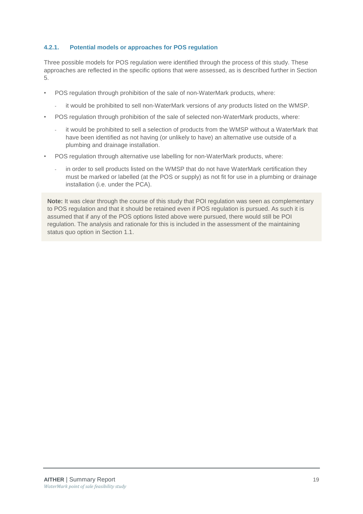### **4.2.1. Potential models or approaches for POS regulation**

Three possible models for POS regulation were identified through the process of this study. These approaches are reflected in the specific options that were assessed, as is described further in Section 5.

- POS regulation through prohibition of the sale of non-WaterMark products, where:
	- it would be prohibited to sell non-WaterMark versions of *any* products listed on the WMSP.
- POS regulation through prohibition of the sale of selected non-WaterMark products, where:
	- it would be prohibited to sell a selection of products from the WMSP without a WaterMark that have been identified as not having (or unlikely to have) an alternative use outside of a plumbing and drainage installation.
- POS regulation through alternative use labelling for non-WaterMark products, where:
	- in order to sell products listed on the WMSP that do not have WaterMark certification they must be marked or labelled (at the POS or supply) as not fit for use in a plumbing or drainage installation (i.e. under the PCA).

**Note:** It was clear through the course of this study that POI regulation was seen as complementary to POS regulation and that it should be retained even if POS regulation is pursued. As such it is assumed that if any of the POS options listed above were pursued, there would still be POI regulation. The analysis and rationale for this is included in the assessment of the maintaining status quo option in Section [1.1.](#page-32-3)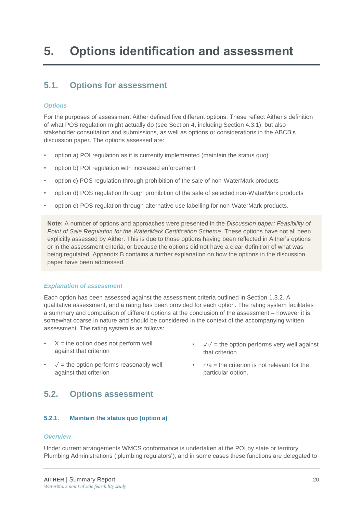### <span id="page-32-1"></span><span id="page-32-0"></span>**5.1. Options for assessment**

### *Options*

For the purposes of assessment Aither defined five different options. These reflect Aither's definition of what POS regulation might actually do (see Section 4, including Section 4.3.1), but also stakeholder consultation and submissions, as well as options or considerations in the ABCB's discussion paper. The options assessed are:

- option a) POI regulation as it is currently implemented (maintain the status quo)
- option b) POI regulation with increased enforcement
- option c) POS regulation through prohibition of the sale of non-WaterMark products
- option d) POS regulation through prohibition of the sale of selected non-WaterMark products
- option e) POS regulation through alternative use labelling for non-WaterMark products.

**Note:** A number of options and approaches were presented in the *Discussion paper: Feasibility of Point of Sale Regulation for the WaterMark Certification Scheme.* These options have not all been explicitly assessed by Aither. This is due to those options having been reflected in Aither's options or in the assessment criteria, or because the options did not have a clear definition of what was being regulated. Appendix B contains a further explanation on how the options in the discussion paper have been addressed.

### *Explanation of assessment*

Each option has been assessed against the assessment criteria outlined in Section [1.3.2.](#page-14-1) A qualitative assessment, and a rating has been provided for each option. The rating system facilitates a summary and comparison of different options at the conclusion of the assessment – however it is somewhat coarse in nature and should be considered in the context of the accompanying written assessment. The rating system is as follows:

- $X =$  the option does not perform well against that criterion
- $\sqrt{\ }$  = the option performs reasonably well against that criterion

### <span id="page-32-2"></span>**5.2. Options assessment**

### **5.2.1. Maintain the status quo (option a)**

### *Overview*

Under current arrangements WMCS conformance is undertaken at the POI by state or territory Plumbing Administrations ('plumbing regulators'), and in some cases these functions are delegated to

- $\sqrt{2}$  = the option performs very well against that criterion
- <span id="page-32-3"></span> $n/a =$  the criterion is not relevant for the particular option.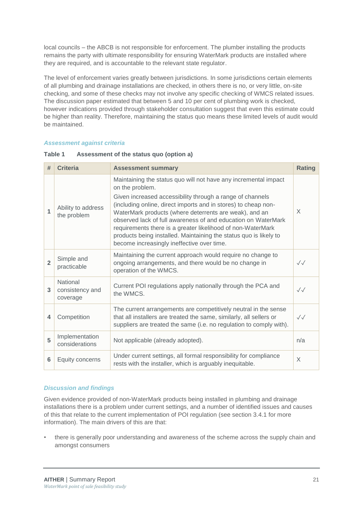local councils – the ABCB is not responsible for enforcement. The plumber installing the products remains the party with ultimate responsibility for ensuring WaterMark products are installed where they are required, and is accountable to the relevant state regulator.

The level of enforcement varies greatly between jurisdictions. In some jurisdictions certain elements of all plumbing and drainage installations are checked, in others there is no, or very little, on-site checking, and some of these checks may not involve any specific checking of WMCS related issues. The discussion paper estimated that between 5 and 10 per cent of plumbing work is checked, however indications provided through stakeholder consultation suggest that even this estimate could be higher than reality. Therefore, maintaining the status quo means these limited levels of audit would be maintained.

### *Assessment against criteria*

| #              | <b>Criteria</b>                         | <b>Assessment summary</b>                                                                                                                                                                                                                                                                                                                                                                                                                                                                                                      | <b>Rating</b>          |
|----------------|-----------------------------------------|--------------------------------------------------------------------------------------------------------------------------------------------------------------------------------------------------------------------------------------------------------------------------------------------------------------------------------------------------------------------------------------------------------------------------------------------------------------------------------------------------------------------------------|------------------------|
| 1              | Ability to address<br>the problem       | Maintaining the status quo will not have any incremental impact<br>on the problem.<br>Given increased accessibility through a range of channels<br>(including online, direct imports and in stores) to cheap non-<br>WaterMark products (where deterrents are weak), and an<br>observed lack of full awareness of and education on WaterMark<br>requirements there is a greater likelihood of non-WaterMark<br>products being installed. Maintaining the status quo is likely to<br>become increasingly ineffective over time. | X                      |
| $\overline{2}$ | Simple and<br>practicable               | Maintaining the current approach would require no change to<br>ongoing arrangements, and there would be no change in<br>operation of the WMCS.                                                                                                                                                                                                                                                                                                                                                                                 | $\sqrt{\sqrt{2}}$      |
| 3              | National<br>consistency and<br>coverage | Current POI regulations apply nationally through the PCA and<br>the WMCS.                                                                                                                                                                                                                                                                                                                                                                                                                                                      | $\checkmark\checkmark$ |
| 4              | Competition                             | The current arrangements are competitively neutral in the sense<br>that all installers are treated the same, similarly, all sellers or<br>suppliers are treated the same (i.e. no regulation to comply with).                                                                                                                                                                                                                                                                                                                  | $\sqrt{\sqrt{2}}$      |
| 5              | Implementation<br>considerations        | Not applicable (already adopted).                                                                                                                                                                                                                                                                                                                                                                                                                                                                                              | n/a                    |
| 6              | Equity concerns                         | Under current settings, all formal responsibility for compliance<br>rests with the installer, which is arguably inequitable.                                                                                                                                                                                                                                                                                                                                                                                                   | X                      |

#### **Table 1 Assessment of the status quo (option a)**

### *Discussion and findings*

Given evidence provided of non-WaterMark products being installed in plumbing and drainage installations there is a problem under current settings, and a number of identified issues and causes of this that relate to the current implementation of POI regulation (see section [3.4.1](#page-24-1) for more information). The main drivers of this are that:

• there is generally poor understanding and awareness of the scheme across the supply chain and amongst consumers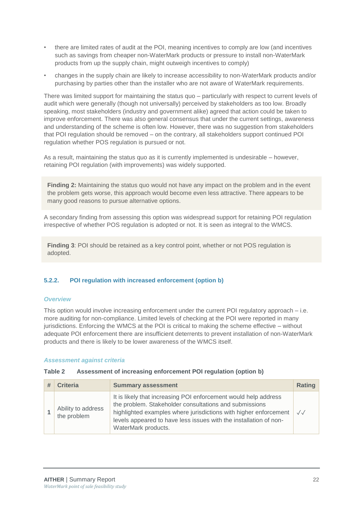- there are limited rates of audit at the POI, meaning incentives to comply are low (and incentives such as savings from cheaper non-WaterMark products or pressure to install non-WaterMark products from up the supply chain, might outweigh incentives to comply)
- changes in the supply chain are likely to increase accessibility to non-WaterMark products and/or purchasing by parties other than the installer who are not aware of WaterMark requirements.

There was limited support for maintaining the status quo – particularly with respect to current levels of audit which were generally (though not universally) perceived by stakeholders as too low. Broadly speaking, most stakeholders (industry and government alike) agreed that action could be taken to improve enforcement. There was also general consensus that under the current settings, awareness and understanding of the scheme is often low. However, there was no suggestion from stakeholders that POI regulation should be removed – on the contrary, all stakeholders support continued POI regulation whether POS regulation is pursued or not.

As a result, maintaining the status quo as it is currently implemented is undesirable – however, retaining POI regulation (with improvements) was widely supported.

**Finding 2:** Maintaining the status quo would not have any impact on the problem and in the event the problem gets worse, this approach would become even less attractive. There appears to be many good reasons to pursue alternative options.

A secondary finding from assessing this option was widespread support for retaining POI regulation irrespective of whether POS regulation is adopted or not. It is seen as integral to the WMCS.

**Finding 3**: POI should be retained as a key control point, whether or not POS regulation is adopted.

### **5.2.2. POI regulation with increased enforcement (option b)**

### *Overview*

This option would involve increasing enforcement under the current POI regulatory approach – i.e. more auditing for non-compliance. Limited levels of checking at the POI were reported in many jurisdictions. Enforcing the WMCS at the POI is critical to making the scheme effective – without adequate POI enforcement there are insufficient deterrents to prevent installation of non-WaterMark products and there is likely to be lower awareness of the WMCS itself.

#### *Assessment against criteria*

#### **Table 2 Assessment of increasing enforcement POI regulation (option b)**

| <b>Criteria</b>                   | <b>Summary assessment</b>                                                                                                                                                                                                                                                                 | Rating            |
|-----------------------------------|-------------------------------------------------------------------------------------------------------------------------------------------------------------------------------------------------------------------------------------------------------------------------------------------|-------------------|
| Ability to address<br>the problem | It is likely that increasing POI enforcement would help address<br>the problem. Stakeholder consultations and submissions<br>highlighted examples where jurisdictions with higher enforcement<br>levels appeared to have less issues with the installation of non-<br>WaterMark products. | $\sqrt{\sqrt{2}}$ |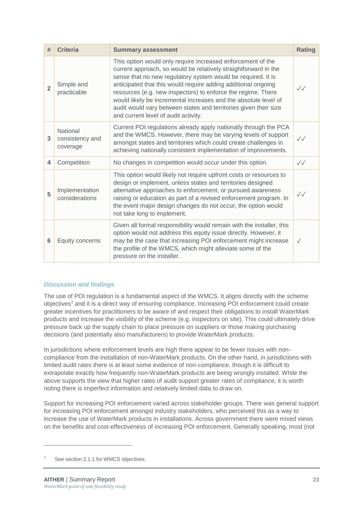| #              | <b>Criteria</b>                         | <b>Summary assessment</b>                                                                                                                                                                                                                                                                                                                                                                                                                                                                                      | <b>Rating</b>     |
|----------------|-----------------------------------------|----------------------------------------------------------------------------------------------------------------------------------------------------------------------------------------------------------------------------------------------------------------------------------------------------------------------------------------------------------------------------------------------------------------------------------------------------------------------------------------------------------------|-------------------|
| $\overline{2}$ | Simple and<br>practicable               | This option would only require increased enforcement of the<br>current approach, so would be relatively straightforward in the<br>sense that no new regulatory system would be required. It is<br>anticipated that this would require adding additional ongoing<br>resources (e.g. new inspectors) to enforce the regime. There<br>would likely be incremental increases and the absolute level of<br>audit would vary between states and territories given their size<br>and current level of audit activity. | $\sqrt{\sqrt{2}}$ |
| 3              | National<br>consistency and<br>coverage | Current POI regulations already apply nationally through the PCA<br>and the WMCS. However, there may be varying levels of support<br>amongst states and territories which could create challenges in<br>achieving nationally consistent implementation of improvements.                                                                                                                                                                                                                                        | $\sqrt{}$         |
| 4              | Competition                             | No changes in competition would occur under this option.                                                                                                                                                                                                                                                                                                                                                                                                                                                       | $\sqrt{\sqrt{2}}$ |
| 5              | Implementation<br>considerations        | This option would likely not require upfront costs or resources to<br>design or implement, unless states and territories designed<br>alternative approaches to enforcement, or pursued awareness<br>raising or education as part of a revised enforcement program. In<br>the event major design changes do not occur, the option would<br>not take long to implement.                                                                                                                                          | $\sqrt{}$         |
| 6              | Equity concerns                         | Given all formal responsibility would remain with the installer, this<br>option would not address this equity issue directly. However, it<br>may be the case that increasing POI enforcement might increase<br>the profile of the WMCS, which might alleviate some of the<br>pressure on the installer.                                                                                                                                                                                                        | $\sqrt{}$         |

### *Discussion and findings*

The use of POI regulation is a fundamental aspect of the WMCS. It aligns directly with the scheme objectives<sup>7</sup> and it is a direct way of ensuring compliance. Increasing POI enforcement could create greater incentives for practitioners to be aware of and respect their obligations to install WaterMark products and increase the visibility of the scheme (e.g. inspectors on site). This could ultimately drive pressure back up the supply chain to place pressure on suppliers or those making purchasing decisions (and potentially also manufacturers) to provide WaterMark products.

In jurisdictions where enforcement levels are high there appear to be fewer issues with noncompliance from the installation of non-WaterMark products. On the other hand, in jurisdictions with limited audit rates there is at least some evidence of non-compliance, though it is difficult to extrapolate exactly how frequently non-WaterMark products are being wrongly installed. While the above supports the view that higher rates of audit support greater rates of compliance, it is worth noting there is imperfect information and relatively limited data to draw on.

Support for increasing POI enforcement varied across stakeholder groups. There was general support for increasing POI enforcement amongst industry stakeholders, who perceived this as a way to increase the use of WaterMark products in installations. Across government there were mixed views on the benefits and cost-effectiveness of increasing POI enforcement. Generally speaking, most (not

-

See sectio[n 2.1.1](#page-16-2) for WMCS objectives.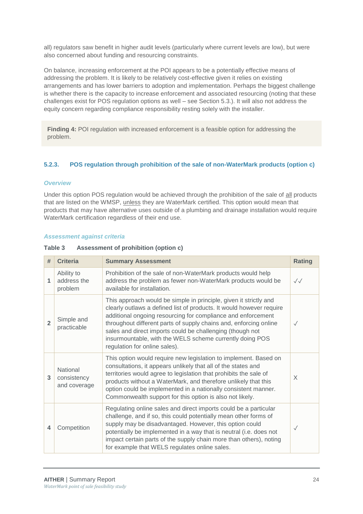all) regulators saw benefit in higher audit levels (particularly where current levels are low), but were also concerned about funding and resourcing constraints.

On balance, increasing enforcement at the POI appears to be a potentially effective means of addressing the problem. It is likely to be relatively cost-effective given it relies on existing arrangements and has lower barriers to adoption and implementation. Perhaps the biggest challenge is whether there is the capacity to increase enforcement and associated resourcing (noting that these challenges exist for POS regulation options as well – see Section [5.3.](#page-43-0)). It will also not address the equity concern regarding compliance responsibility resting solely with the installer.

**Finding 4:** POI regulation with increased enforcement is a feasible option for addressing the problem.

### **5.2.3. POS regulation through prohibition of the sale of non-WaterMark products (option c)**

### *Overview*

Under this option POS regulation would be achieved through the prohibition of the sale of all products that are listed on the WMSP, unless they are WaterMark certified. This option would mean that products that may have alternative uses outside of a plumbing and drainage installation would require WaterMark certification regardless of their end use.

### *Assessment against criteria*

| Table 3 | Assessment of prohibition (option c) |  |
|---------|--------------------------------------|--|
|---------|--------------------------------------|--|

| #              | <b>Criteria</b>                         | <b>Summary Assessment</b>                                                                                                                                                                                                                                                                                                                                                                                                                | <b>Rating</b>     |
|----------------|-----------------------------------------|------------------------------------------------------------------------------------------------------------------------------------------------------------------------------------------------------------------------------------------------------------------------------------------------------------------------------------------------------------------------------------------------------------------------------------------|-------------------|
| 1              | Ability to<br>address the<br>problem    | Prohibition of the sale of non-WaterMark products would help<br>address the problem as fewer non-WaterMark products would be<br>available for installation.                                                                                                                                                                                                                                                                              | $\sqrt{\sqrt{2}}$ |
| $\overline{2}$ | Simple and<br>practicable               | This approach would be simple in principle, given it strictly and<br>clearly outlaws a defined list of products. It would however require<br>additional ongoing resourcing for compliance and enforcement<br>throughout different parts of supply chains and, enforcing online<br>sales and direct imports could be challenging (though not<br>insurmountable, with the WELS scheme currently doing POS<br>regulation for online sales). | $\checkmark$      |
| 3              | National<br>consistency<br>and coverage | This option would require new legislation to implement. Based on<br>consultations, it appears unlikely that all of the states and<br>territories would agree to legislation that prohibits the sale of<br>products without a WaterMark, and therefore unlikely that this<br>option could be implemented in a nationally consistent manner.<br>Commonwealth support for this option is also not likely.                                   | X                 |
| 4              | Competition                             | Regulating online sales and direct imports could be a particular<br>challenge, and if so, this could potentially mean other forms of<br>supply may be disadvantaged. However, this option could<br>potentially be implemented in a way that is neutral (i.e. does not<br>impact certain parts of the supply chain more than others), noting<br>for example that WELS regulates online sales.                                             | $\checkmark$      |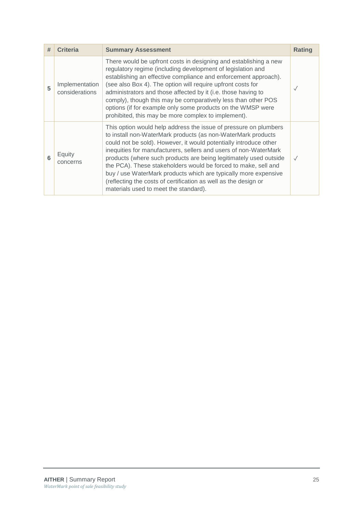| # | <b>Criteria</b>                  | <b>Summary Assessment</b>                                                                                                                                                                                                                                                                                                                                                                                                                                                                                                                                                                       | Rating    |
|---|----------------------------------|-------------------------------------------------------------------------------------------------------------------------------------------------------------------------------------------------------------------------------------------------------------------------------------------------------------------------------------------------------------------------------------------------------------------------------------------------------------------------------------------------------------------------------------------------------------------------------------------------|-----------|
| 5 | Implementation<br>considerations | There would be upfront costs in designing and establishing a new<br>regulatory regime (including development of legislation and<br>establishing an effective compliance and enforcement approach).<br>(see also Box 4). The option will require upfront costs for<br>administrators and those affected by it (i.e. those having to<br>comply), though this may be comparatively less than other POS<br>options (if for example only some products on the WMSP were<br>prohibited, this may be more complex to implement).                                                                       | $\sqrt{}$ |
| 6 | Equity<br>concerns               | This option would help address the issue of pressure on plumbers<br>to install non-WaterMark products (as non-WaterMark products<br>could not be sold). However, it would potentially introduce other<br>inequities for manufacturers, sellers and users of non-WaterMark<br>products (where such products are being legitimately used outside<br>the PCA). These stakeholders would be forced to make, sell and<br>buy / use WaterMark products which are typically more expensive<br>(reflecting the costs of certification as well as the design or<br>materials used to meet the standard). | $\sqrt{}$ |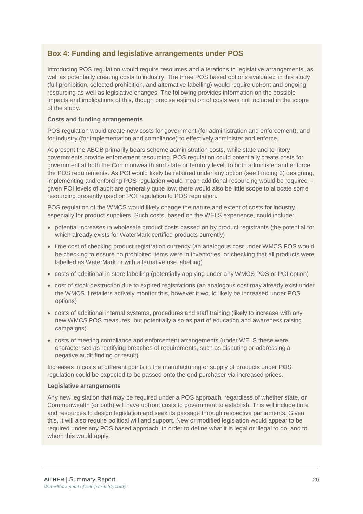### **Box 4: Funding and legislative arrangements under POS**

Introducing POS regulation would require resources and alterations to legislative arrangements, as well as potentially creating costs to industry. The three POS based options evaluated in this study (full prohibition, selected prohibition, and alternative labelling) would require upfront and ongoing resourcing as well as legislative changes. The following provides information on the possible impacts and implications of this, though precise estimation of costs was not included in the scope of the study.

### **Costs and funding arrangements**

POS regulation would create new costs for government (for administration and enforcement), and for industry (for implementation and compliance) to effectively administer and enforce.

At present the ABCB primarily bears scheme administration costs, while state and territory governments provide enforcement resourcing. POS regulation could potentially create costs for government at both the Commonwealth and state or territory level, to both administer and enforce the POS requirements. As POI would likely be retained under any option (see Finding 3) designing, implementing and enforcing POS regulation would mean additional resourcing would be required – given POI levels of audit are generally quite low, there would also be little scope to allocate some resourcing presently used on POI regulation to POS regulation.

POS regulation of the WMCS would likely change the nature and extent of costs for industry, especially for product suppliers. Such costs, based on the WELS experience, could include:

- potential increases in wholesale product costs passed on by product registrants (the potential for which already exists for WaterMark certified products currently)
- time cost of checking product registration currency (an analogous cost under WMCS POS would be checking to ensure no prohibited items were in inventories, or checking that all products were labelled as WaterMark or with alternative use labelling)
- costs of additional in store labelling (potentially applying under any WMCS POS or POI option)
- cost of stock destruction due to expired registrations (an analogous cost may already exist under the WMCS if retailers actively monitor this, however it would likely be increased under POS options)
- costs of additional internal systems, procedures and staff training (likely to increase with any new WMCS POS measures, but potentially also as part of education and awareness raising campaigns)
- costs of meeting compliance and enforcement arrangements (under WELS these were characterised as rectifying breaches of requirements, such as disputing or addressing a negative audit finding or result).

Increases in costs at different points in the manufacturing or supply of products under POS regulation could be expected to be passed onto the end purchaser via increased prices.

### **Legislative arrangements**

Any new legislation that may be required under a POS approach, regardless of whether state, or Commonwealth (or both) will have upfront costs to government to establish. This will include time and resources to design legislation and seek its passage through respective parliaments. Given this, it will also require political will and support. New or modified legislation would appear to be required under any POS based approach, in order to define what it is legal or illegal to do, and to whom this would apply.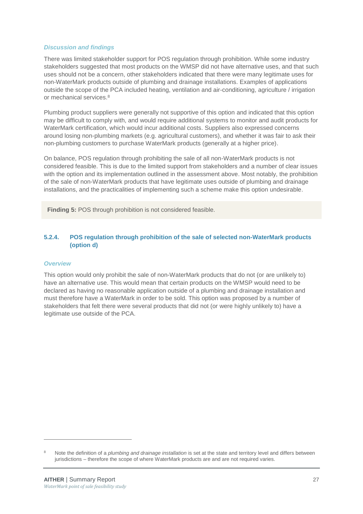### *Discussion and findings*

There was limited stakeholder support for POS regulation through prohibition. While some industry stakeholders suggested that most products on the WMSP did not have alternative uses, and that such uses should not be a concern, other stakeholders indicated that there were many legitimate uses for non-WaterMark products outside of plumbing and drainage installations. Examples of applications outside the scope of the PCA included heating, ventilation and air-conditioning, agriculture / irrigation or mechanical services.<sup>8</sup>

Plumbing product suppliers were generally not supportive of this option and indicated that this option may be difficult to comply with, and would require additional systems to monitor and audit products for WaterMark certification, which would incur additional costs. Suppliers also expressed concerns around losing non-plumbing markets (e.g. agricultural customers), and whether it was fair to ask their non-plumbing customers to purchase WaterMark products (generally at a higher price).

On balance, POS regulation through prohibiting the sale of all non-WaterMark products is not considered feasible. This is due to the limited support from stakeholders and a number of clear issues with the option and its implementation outlined in the assessment above. Most notably, the prohibition of the sale of non-WaterMark products that have legitimate uses outside of plumbing and drainage installations, and the practicalities of implementing such a scheme make this option undesirable.

**Finding 5:** POS through prohibition is not considered feasible.

### **5.2.4. POS regulation through prohibition of the sale of selected non-WaterMark products (option d)**

### *Overview*

-

This option would only prohibit the sale of non-WaterMark products that do not (or are unlikely to) have an alternative use. This would mean that certain products on the WMSP would need to be declared as having no reasonable application outside of a plumbing and drainage installation and must therefore have a WaterMark in order to be sold. This option was proposed by a number of stakeholders that felt there were several products that did not (or were highly unlikely to) have a legitimate use outside of the PCA.

<sup>8</sup> Note the definition of a *plumbing and drainage installation* is set at the state and territory level and differs between jurisdictions – therefore the scope of where WaterMark products are and are not required varies.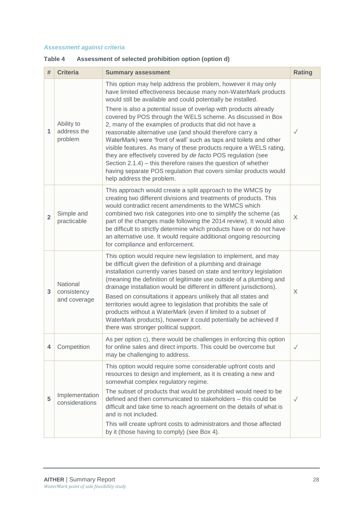### *Assessment against criteria*

| #              | <b>Criteria</b>                         | <b>Summary assessment</b>                                                                                                                                                                                                                                                                                                                                                                                                                                                                                                                                                                                                                                                                                                                                                                                                                    | <b>Rating</b> |
|----------------|-----------------------------------------|----------------------------------------------------------------------------------------------------------------------------------------------------------------------------------------------------------------------------------------------------------------------------------------------------------------------------------------------------------------------------------------------------------------------------------------------------------------------------------------------------------------------------------------------------------------------------------------------------------------------------------------------------------------------------------------------------------------------------------------------------------------------------------------------------------------------------------------------|---------------|
| 1              | Ability to<br>address the<br>problem    | This option may help address the problem, however it may only<br>have limited effectiveness because many non-WaterMark products<br>would still be available and could potentially be installed.<br>There is also a potential issue of overlap with products already<br>covered by POS through the WELS scheme. As discussed in Box<br>2, many of the examples of products that did not have a<br>reasonable alternative use (and should therefore carry a<br>WaterMark) were 'front of wall' such as taps and toilets and other<br>visible features. As many of these products require a WELS rating,<br>they are effectively covered by de facto POS regulation (see<br>Section $2.1.4$ ) – this therefore raises the question of whether<br>having separate POS regulation that covers similar products would<br>help address the problem. | $\checkmark$  |
| $\overline{2}$ | Simple and<br>practicable               | This approach would create a split approach to the WMCS by<br>creating two different divisions and treatments of products. This<br>would contradict recent amendments to the WMCS which<br>combined two risk categories into one to simplify the scheme (as<br>part of the changes made following the 2014 review). It would also<br>be difficult to strictly determine which products have or do not have<br>an alternative use. It would require additional ongoing resourcing<br>for compliance and enforcement.                                                                                                                                                                                                                                                                                                                          | X             |
| 3              | National<br>consistency<br>and coverage | This option would require new legislation to implement, and may<br>be difficult given the definition of a plumbing and drainage<br>installation currently varies based on state and territory legislation<br>(meaning the definition of legitimate use outside of a plumbing and<br>drainage installation would be different in different jurisdictions).<br>Based on consultations it appears unlikely that all states and<br>territories would agree to legislation that prohibits the sale of<br>products without a WaterMark (even if limited to a subset of<br>WaterMark products), however it could potentially be achieved if<br>there was stronger political support.                                                                                                                                                                | X             |
| 4              | Competition                             | As per option c), there would be challenges in enforcing this option<br>for online sales and direct imports. This could be overcome but<br>may be challenging to address.                                                                                                                                                                                                                                                                                                                                                                                                                                                                                                                                                                                                                                                                    | $\checkmark$  |
| 5              | Implementation<br>considerations        | This option would require some considerable upfront costs and<br>resources to design and implement, as it is creating a new and<br>somewhat complex regulatory regime.<br>The subset of products that would be prohibited would need to be<br>defined and then communicated to stakeholders – this could be<br>difficult and take time to reach agreement on the details of what is<br>and is not included.<br>This will create upfront costs to administrators and those affected<br>by it (those having to comply) (see Box 4).                                                                                                                                                                                                                                                                                                            | $\checkmark$  |

### **Table 4 Assessment of selected prohibition option (option d)**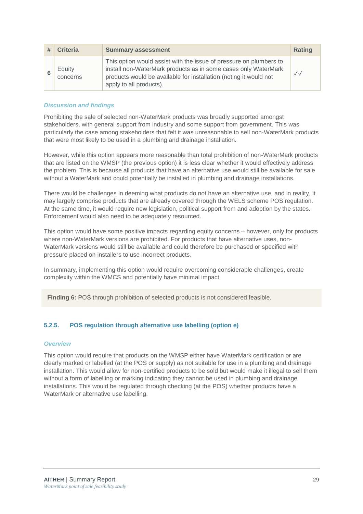| <b>Criteria</b>    | <b>Summary assessment</b>                                                                                                                                                                                                            | <b>Rating</b> |
|--------------------|--------------------------------------------------------------------------------------------------------------------------------------------------------------------------------------------------------------------------------------|---------------|
| Equity<br>concerns | This option would assist with the issue of pressure on plumbers to<br>install non-WaterMark products as in some cases only WaterMark<br>products would be available for installation (noting it would not<br>apply to all products). | $\sqrt{}$     |

### *Discussion and findings*

Prohibiting the sale of selected non-WaterMark products was broadly supported amongst stakeholders, with general support from industry and some support from government. This was particularly the case among stakeholders that felt it was unreasonable to sell non-WaterMark products that were most likely to be used in a plumbing and drainage installation.

However, while this option appears more reasonable than total prohibition of non-WaterMark products that are listed on the WMSP (the previous option) it is less clear whether it would effectively address the problem. This is because all products that have an alternative use would still be available for sale without a WaterMark and could potentially be installed in plumbing and drainage installations.

There would be challenges in deeming what products do not have an alternative use, and in reality, it may largely comprise products that are already covered through the WELS scheme POS regulation. At the same time, it would require new legislation, political support from and adoption by the states. Enforcement would also need to be adequately resourced.

This option would have some positive impacts regarding equity concerns – however, only for products where non-WaterMark versions are prohibited. For products that have alternative uses, non-WaterMark versions would still be available and could therefore be purchased or specified with pressure placed on installers to use incorrect products.

In summary, implementing this option would require overcoming considerable challenges, create complexity within the WMCS and potentially have minimal impact.

**Finding 6:** POS through prohibition of selected products is not considered feasible.

### **5.2.5. POS regulation through alternative use labelling (option e)**

### *Overview*

This option would require that products on the WMSP either have WaterMark certification or are clearly marked or labelled (at the POS or supply) as not suitable for use in a plumbing and drainage installation. This would allow for non-certified products to be sold but would make it illegal to sell them without a form of labelling or marking indicating they cannot be used in plumbing and drainage installations. This would be regulated through checking (at the POS) whether products have a WaterMark or alternative use labelling.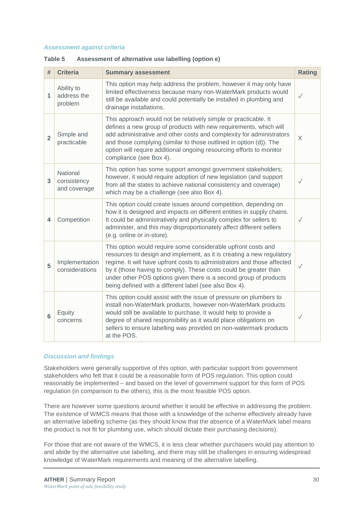#### *Assessment against criteria*

| #              | <b>Criteria</b>                         | <b>Summary assessment</b>                                                                                                                                                                                                                                                                                                                                                                                             | <b>Rating</b> |
|----------------|-----------------------------------------|-----------------------------------------------------------------------------------------------------------------------------------------------------------------------------------------------------------------------------------------------------------------------------------------------------------------------------------------------------------------------------------------------------------------------|---------------|
| 1              | Ability to<br>address the<br>problem    | This option may help address the problem, however it may only have<br>limited effectiveness because many non-WaterMark products would<br>still be available and could potentially be installed in plumbing and<br>drainage installations.                                                                                                                                                                             | $\checkmark$  |
| $\overline{2}$ | Simple and<br>practicable               | This approach would not be relatively simple or practicable. It<br>defines a new group of products with new requirements, which will<br>add administrative and other costs and complexity for administrators<br>and those complying (similar to those outlined in option (d)). The<br>option will require additional ongoing resourcing efforts to monitor<br>compliance (see Box 4).                                 | X             |
| 3              | National<br>consistency<br>and coverage | This option has some support amongst government stakeholders;<br>however, it would require adoption of new legislation (and support<br>from all the states to achieve national consistency and coverage)<br>which may be a challenge (see also Box 4).                                                                                                                                                                | $\checkmark$  |
| 4              | Competition                             | This option could create issues around competition, depending on<br>how it is designed and impacts on different entities in supply chains.<br>It could be administratively and physically complex for sellers to<br>administer, and this may disproportionately affect different sellers<br>(e.g. online or in-store).                                                                                                | $\sqrt{}$     |
| 5              | Implementation<br>considerations        | This option would require some considerable upfront costs and<br>resources to design and implement, as it is creating a new regulatory<br>regime. It will have upfront costs to administrators and those affected<br>by it (those having to comply). These costs could be greater than<br>under other POS options given there is a second group of products<br>being defined with a different label (see also Box 4). | $\checkmark$  |
| 6              | Equity<br>concerns                      | This option could assist with the issue of pressure on plumbers to<br>install non-WaterMark products, however non-WaterMark products<br>would still be available to purchase. It would help to provide a<br>degree of shared responsibility as it would place obligations on<br>sellers to ensure labelling was provided on non-watermark products<br>at the POS.                                                     | $\checkmark$  |

#### **Table 5 Assessment of alternative use labelling (option e)**

### *Discussion and findings*

Stakeholders were generally supportive of this option, with particular support from government stakeholders who felt that it could be a reasonable form of POS regulation. This option could reasonably be implemented – and based on the level of government support for this form of POS regulation (in comparison to the others), this is the most feasible POS option.

There are however some questions around whether it would be effective in addressing the problem. The existence of WMCS means that those with a knowledge of the scheme effectively already have an alternative labelling scheme (as they should know that the absence of a WaterMark label means the product is not fit for plumbing use, which should dictate their purchasing decisions).

For those that are not aware of the WMCS, it is less clear whether purchasers would pay attention to and abide by the alternative use labelling, and there may still be challenges in ensuring widespread knowledge of WaterMark requirements and meaning of the alternative labelling.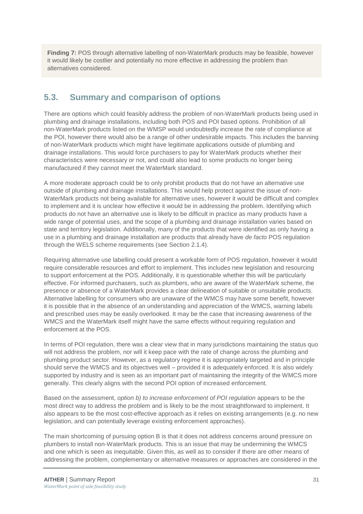**Finding 7:** POS through alternative labelling of non-WaterMark products may be feasible, however it would likely be costlier and potentially no more effective in addressing the problem than alternatives considered.

### <span id="page-43-0"></span>**5.3. Summary and comparison of options**

There are options which could feasibly address the problem of non-WaterMark products being used in plumbing and drainage installations, including both POS and POI based options. Prohibition of all non-WaterMark products listed on the WMSP would undoubtedly increase the rate of compliance at the POI, however there would also be a range of other undesirable impacts. This includes the banning of non-WaterMark products which might have legitimate applications outside of plumbing and drainage installations. This would force purchasers to pay for WaterMark products whether their characteristics were necessary or not, and could also lead to some products no longer being manufactured if they cannot meet the WaterMark standard.

A more moderate approach could be to only prohibit products that do not have an alternative use outside of plumbing and drainage installations. This would help protect against the issue of non-WaterMark products not being available for alternative uses, however it would be difficult and complex to implement and it is unclear how effective it would be in addressing the problem. Identifying which products do not have an alternative use is likely to be difficult in practice as many products have a wide range of potential uses, and the scope of a plumbing and drainage installation varies based on state and territory legislation. Additionally, many of the products that were identified as only having a use in a plumbing and drainage installation are products that already have *de facto* POS regulation through the WELS scheme requirements (see Section [2.1.4\)](#page-17-0).

Requiring alternative use labelling could present a workable form of POS regulation, however it would require considerable resources and effort to implement. This includes new legislation and resourcing to support enforcement at the POS. Additionally, it is questionable whether this will be particularly effective. For informed purchasers, such as plumbers, who are aware of the WaterMark scheme, the presence or absence of a WaterMark provides a clear delineation of suitable or unsuitable products. Alternative labelling for consumers who are unaware of the WMCS may have some benefit, however it is possible that in the absence of an understanding and appreciation of the WMCS, warning labels and prescribed uses may be easily overlooked. It may be the case that increasing awareness of the WMCS and the WaterMark itself might have the same effects without requiring regulation and enforcement at the POS.

In terms of POI regulation, there was a clear view that in many jurisdictions maintaining the status quo will not address the problem, nor will it keep pace with the rate of change across the plumbing and plumbing product sector. However, as a regulatory regime it is appropriately targeted and in principle should serve the WMCS and its objectives well – provided it is adequately enforced. It is also widely supported by industry and is seen as an important part of maintaining the integrity of the WMCS more generally. This clearly aligns with the second POI option of increased enforcement.

Based on the assessment, *option b) to increase enforcement of POI regulation* appears to be the most direct way to address the problem and is likely to be the most straightforward to implement. It also appears to be the most cost-effective approach as it relies on existing arrangements (e.g. no new legislation, and can potentially leverage existing enforcement approaches).

The main shortcoming of pursuing option B is that it does not address concerns around pressure on plumbers to install non-WaterMark products. This is an issue that may be undermining the WMCS and one which is seen as inequitable. Given this, as well as to consider if there are other means of addressing the problem, complementary or alternative measures or approaches are considered in the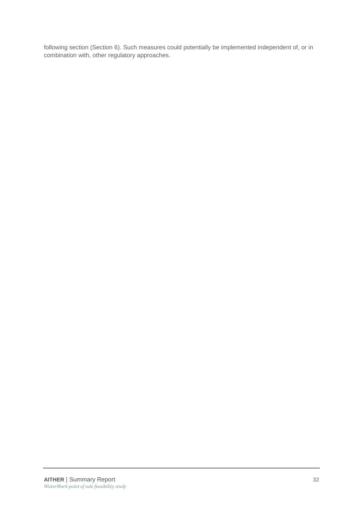following section (Section 6). Such measures could potentially be implemented independent of, or in combination with, other regulatory approaches.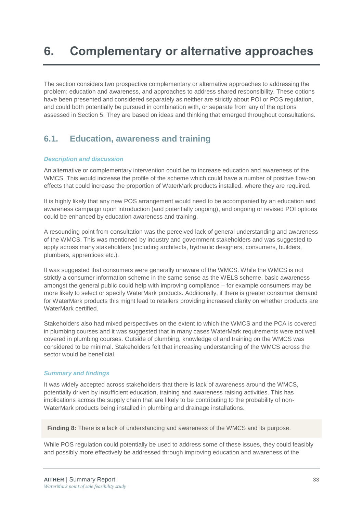# <span id="page-45-0"></span>**6. Complementary or alternative approaches**

The section considers two prospective complementary or alternative approaches to addressing the problem; education and awareness, and approaches to address shared responsibility. These options have been presented and considered separately as neither are strictly about POI or POS regulation, and could both potentially be pursued in combination with, or separate from any of the options assessed in Section [5.](#page-32-0) They are based on ideas and thinking that emerged throughout consultations.

### <span id="page-45-1"></span>**6.1. Education, awareness and training**

### *Description and discussion*

An alternative or complementary intervention could be to increase education and awareness of the WMCS. This would increase the profile of the scheme which could have a number of positive flow-on effects that could increase the proportion of WaterMark products installed, where they are required.

It is highly likely that any new POS arrangement would need to be accompanied by an education and awareness campaign upon introduction (and potentially ongoing), and ongoing or revised POI options could be enhanced by education awareness and training.

A resounding point from consultation was the perceived lack of general understanding and awareness of the WMCS. This was mentioned by industry and government stakeholders and was suggested to apply across many stakeholders (including architects, hydraulic designers, consumers, builders, plumbers, apprentices etc.).

It was suggested that consumers were generally unaware of the WMCS. While the WMCS is not strictly a consumer information scheme in the same sense as the WELS scheme, basic awareness amongst the general public could help with improving compliance – for example consumers may be more likely to select or specify WaterMark products. Additionally, if there is greater consumer demand for WaterMark products this might lead to retailers providing increased clarity on whether products are WaterMark certified.

Stakeholders also had mixed perspectives on the extent to which the WMCS and the PCA is covered in plumbing courses and it was suggested that in many cases WaterMark requirements were not well covered in plumbing courses. Outside of plumbing, knowledge of and training on the WMCS was considered to be minimal. Stakeholders felt that increasing understanding of the WMCS across the sector would be beneficial.

### *Summary and findings*

It was widely accepted across stakeholders that there is lack of awareness around the WMCS, potentially driven by insufficient education, training and awareness raising activities. This has implications across the supply chain that are likely to be contributing to the probability of non-WaterMark products being installed in plumbing and drainage installations.

**Finding 8:** There is a lack of understanding and awareness of the WMCS and its purpose.

While POS regulation could potentially be used to address some of these issues, they could feasibly and possibly more effectively be addressed through improving education and awareness of the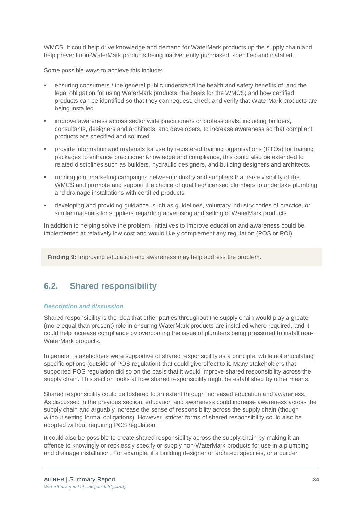WMCS. It could help drive knowledge and demand for WaterMark products up the supply chain and help prevent non-WaterMark products being inadvertently purchased, specified and installed.

Some possible ways to achieve this include:

- ensuring consumers / the general public understand the health and safety benefits of, and the legal obligation for using WaterMark products; the basis for the WMCS; and how certified products can be identified so that they can request, check and verify that WaterMark products are being installed
- improve awareness across sector wide practitioners or professionals, including builders, consultants, designers and architects, and developers, to increase awareness so that compliant products are specified and sourced
- provide information and materials for use by registered training organisations (RTOs) for training packages to enhance practitioner knowledge and compliance, this could also be extended to related disciplines such as builders, hydraulic designers, and building designers and architects.
- running joint marketing campaigns between industry and suppliers that raise visibility of the WMCS and promote and support the choice of qualified/licensed plumbers to undertake plumbing and drainage installations with certified products
- developing and providing guidance, such as guidelines, voluntary industry codes of practice, or similar materials for suppliers regarding advertising and selling of WaterMark products.

In addition to helping solve the problem, initiatives to improve education and awareness could be implemented at relatively low cost and would likely complement any regulation (POS or POI).

**Finding 9:** Improving education and awareness may help address the problem.

### <span id="page-46-0"></span>**6.2. Shared responsibility**

### *Description and discussion*

Shared responsibility is the idea that other parties throughout the supply chain would play a greater (more equal than present) role in ensuring WaterMark products are installed where required, and it could help increase compliance by overcoming the issue of plumbers being pressured to install non-WaterMark products.

In general, stakeholders were supportive of shared responsibility as a principle, while not articulating specific options (outside of POS regulation) that could give effect to it. Many stakeholders that supported POS regulation did so on the basis that it would improve shared responsibility across the supply chain. This section looks at how shared responsibility might be established by other means.

Shared responsibility could be fostered to an extent through increased education and awareness. As discussed in the previous section, education and awareness could increase awareness across the supply chain and arguably increase the sense of responsibility across the supply chain (though without setting formal obligations). However, stricter forms of shared responsibility could also be adopted without requiring POS regulation.

It could also be possible to create shared responsibility across the supply chain by making it an offence to knowingly or recklessly specify or supply non-WaterMark products for use in a plumbing and drainage installation. For example, if a building designer or architect specifies, or a builder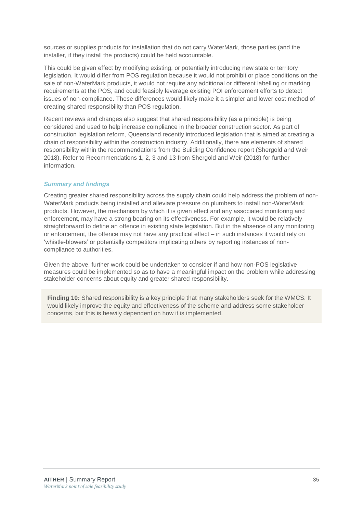sources or supplies products for installation that do not carry WaterMark, those parties (and the installer, if they install the products) could be held accountable.

This could be given effect by modifying existing, or potentially introducing new state or territory legislation. It would differ from POS regulation because it would not prohibit or place conditions on the sale of non-WaterMark products, it would not require any additional or different labelling or marking requirements at the POS, and could feasibly leverage existing POI enforcement efforts to detect issues of non-compliance. These differences would likely make it a simpler and lower cost method of creating shared responsibility than POS regulation.

Recent reviews and changes also suggest that shared responsibility (as a principle) is being considered and used to help increase compliance in the broader construction sector. As part of construction legislation reform, Queensland recently introduced legislation that is aimed at creating a chain of responsibility within the construction industry. Additionally, there are elements of shared responsibility within the recommendations from the Building Confidence report (Shergold and Weir 2018). Refer to Recommendations 1, 2, 3 and 13 from Shergold and Weir (2018) for further information.

### *Summary and findings*

Creating greater shared responsibility across the supply chain could help address the problem of non-WaterMark products being installed and alleviate pressure on plumbers to install non-WaterMark products. However, the mechanism by which it is given effect and any associated monitoring and enforcement, may have a strong bearing on its effectiveness. For example, it would be relatively straightforward to define an offence in existing state legislation. But in the absence of any monitoring or enforcement, the offence may not have any practical effect – in such instances it would rely on 'whistle-blowers' or potentially competitors implicating others by reporting instances of noncompliance to authorities.

Given the above, further work could be undertaken to consider if and how non-POS legislative measures could be implemented so as to have a meaningful impact on the problem while addressing stakeholder concerns about equity and greater shared responsibility.

**Finding 10:** Shared responsibility is a key principle that many stakeholders seek for the WMCS. It would likely improve the equity and effectiveness of the scheme and address some stakeholder concerns, but this is heavily dependent on how it is implemented.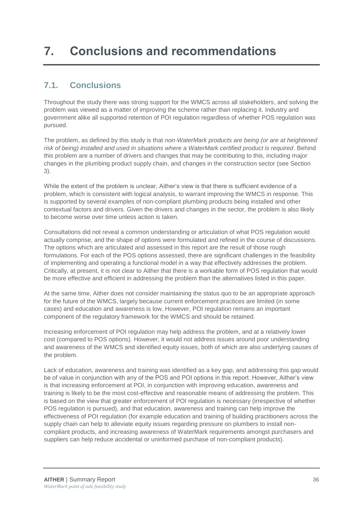# <span id="page-48-0"></span>**7. Conclusions and recommendations**

### <span id="page-48-1"></span>**7.1. Conclusions**

Throughout the study there was strong support for the WMCS across all stakeholders, and solving the problem was viewed as a matter of improving the scheme rather than replacing it. Industry and government alike all supported retention of POI regulation regardless of whether POS regulation was pursued.

The problem, as defined by this study is that *non-WaterMark products are being (or are at heightened risk of being) installed and used in situations where a WaterMark certified product is required*. Behind this problem are a number of drivers and changes that may be contributing to this, including major changes in the plumbing product supply chain, and changes in the construction sector (see Section [3\)](#page-22-0).

While the extent of the problem is unclear, Aither's view is that there is sufficient evidence of a problem, which is consistent with logical analysis, to warrant improving the WMCS in response. This is supported by several examples of non-compliant plumbing products being installed and other contextual factors and drivers. Given the drivers and changes in the sector, the problem is also likely to become worse over time unless action is taken.

Consultations did not reveal a common understanding or articulation of what POS regulation would actually comprise, and the shape of options were formulated and refined in the course of discussions. The options which are articulated and assessed in this report are the result of those rough formulations. For each of the POS options assessed, there are significant challenges in the feasibility of implementing and operating a functional model in a way that effectively addresses the problem. Critically, at present, it is not clear to Aither that there is a workable form of POS regulation that would be more effective and efficient in addressing the problem than the alternatives listed in this paper.

At the same time, Aither does not consider maintaining the status quo to be an appropriate approach for the future of the WMCS, largely because current enforcement practices are limited (in some cases) and education and awareness is low. However, POI regulation remains an important component of the regulatory framework for the WMCS and should be retained.

Increasing enforcement of POI regulation may help address the problem, and at a relatively lower cost (compared to POS options). However, it would not address issues around poor understanding and awareness of the WMCS and identified equity issues, both of which are also underlying causes of the problem.

Lack of education, awareness and training was identified as a key gap, and addressing this gap would be of value in conjunction with any of the POS and POI options in this report. However, Aither's view is that increasing enforcement at POI, in conjunction with improving education, awareness and training is likely to be the most cost-effective and reasonable means of addressing the problem. This is based on the view that greater enforcement of POI regulation is necessary (irrespective of whether POS regulation is pursued), and that education, awareness and training can help improve the effectiveness of POI regulation (for example education and training of building practitioners across the supply chain can help to alleviate equity issues regarding pressure on plumbers to install noncompliant products, and increasing awareness of WaterMark requirements amongst purchasers and suppliers can help reduce accidental or uninformed purchase of non-compliant products).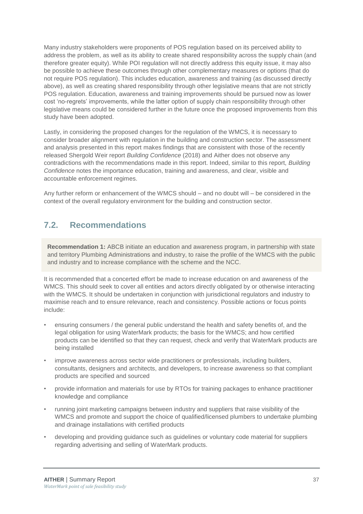Many industry stakeholders were proponents of POS regulation based on its perceived ability to address the problem, as well as its ability to create shared responsibility across the supply chain (and therefore greater equity). While POI regulation will not directly address this equity issue, it may also be possible to achieve these outcomes through other complementary measures or options (that do not require POS regulation). This includes education, awareness and training (as discussed directly above), as well as creating shared responsibility through other legislative means that are not strictly POS regulation. Education, awareness and training improvements should be pursued now as lower cost 'no-regrets' improvements, while the latter option of supply chain responsibility through other legislative means could be considered further in the future once the proposed improvements from this study have been adopted.

Lastly, in considering the proposed changes for the regulation of the WMCS, it is necessary to consider broader alignment with regulation in the building and construction sector. The assessment and analysis presented in this report makes findings that are consistent with those of the recently released Shergold Weir report *Building Confidence* (2018) and Aither does not observe any contradictions with the recommendations made in this report. Indeed, similar to this report, *Building Confidence* notes the importance education, training and awareness, and clear, visible and accountable enforcement regimes.

Any further reform or enhancement of the WMCS should – and no doubt will – be considered in the context of the overall regulatory environment for the building and construction sector.

### <span id="page-49-0"></span>**7.2. Recommendations**

**Recommendation 1:** ABCB initiate an education and awareness program, in partnership with state and territory Plumbing Administrations and industry, to raise the profile of the WMCS with the public and industry and to increase compliance with the scheme and the NCC.

It is recommended that a concerted effort be made to increase education on and awareness of the WMCS. This should seek to cover all entities and actors directly obligated by or otherwise interacting with the WMCS. It should be undertaken in conjunction with jurisdictional regulators and industry to maximise reach and to ensure relevance, reach and consistency. Possible actions or focus points include:

- ensuring consumers / the general public understand the health and safety benefits of, and the legal obligation for using WaterMark products; the basis for the WMCS; and how certified products can be identified so that they can request, check and verify that WaterMark products are being installed
- improve awareness across sector wide practitioners or professionals, including builders, consultants, designers and architects, and developers, to increase awareness so that compliant products are specified and sourced
- provide information and materials for use by RTOs for training packages to enhance practitioner knowledge and compliance
- running joint marketing campaigns between industry and suppliers that raise visibility of the WMCS and promote and support the choice of qualified/licensed plumbers to undertake plumbing and drainage installations with certified products
- developing and providing guidance such as guidelines or voluntary code material for suppliers regarding advertising and selling of WaterMark products.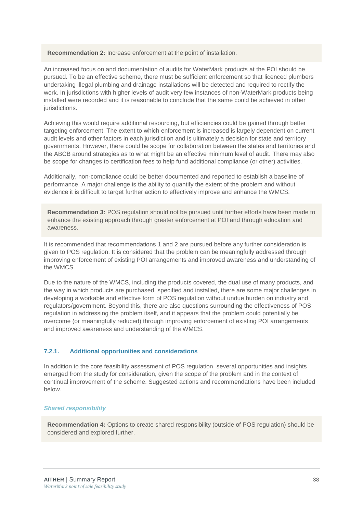**Recommendation 2:** Increase enforcement at the point of installation.

An increased focus on and documentation of audits for WaterMark products at the POI should be pursued. To be an effective scheme, there must be sufficient enforcement so that licenced plumbers undertaking illegal plumbing and drainage installations will be detected and required to rectify the work. In jurisdictions with higher levels of audit very few instances of non-WaterMark products being installed were recorded and it is reasonable to conclude that the same could be achieved in other jurisdictions.

Achieving this would require additional resourcing, but efficiencies could be gained through better targeting enforcement. The extent to which enforcement is increased is largely dependent on current audit levels and other factors in each jurisdiction and is ultimately a decision for state and territory governments. However, there could be scope for collaboration between the states and territories and the ABCB around strategies as to what might be an effective minimum level of audit. There may also be scope for changes to certification fees to help fund additional compliance (or other) activities.

Additionally, non-compliance could be better documented and reported to establish a baseline of performance. A major challenge is the ability to quantify the extent of the problem and without evidence it is difficult to target further action to effectively improve and enhance the WMCS.

**Recommendation 3:** POS regulation should not be pursued until further efforts have been made to enhance the existing approach through greater enforcement at POI and through education and awareness.

It is recommended that recommendations 1 and 2 are pursued before any further consideration is given to POS regulation. It is considered that the problem can be meaningfully addressed through improving enforcement of existing POI arrangements and improved awareness and understanding of the WMCS.

Due to the nature of the WMCS, including the products covered, the dual use of many products, and the way in which products are purchased, specified and installed, there are some major challenges in developing a workable and effective form of POS regulation without undue burden on industry and regulators/government. Beyond this, there are also questions surrounding the effectiveness of POS regulation in addressing the problem itself, and it appears that the problem could potentially be overcome (or meaningfully reduced) through improving enforcement of existing POI arrangements and improved awareness and understanding of the WMCS.

### **7.2.1. Additional opportunities and considerations**

In addition to the core feasibility assessment of POS regulation, several opportunities and insights emerged from the study for consideration, given the scope of the problem and in the context of continual improvement of the scheme. Suggested actions and recommendations have been included below.

#### *Shared responsibility*

**Recommendation 4:** Options to create shared responsibility (outside of POS regulation) should be considered and explored further.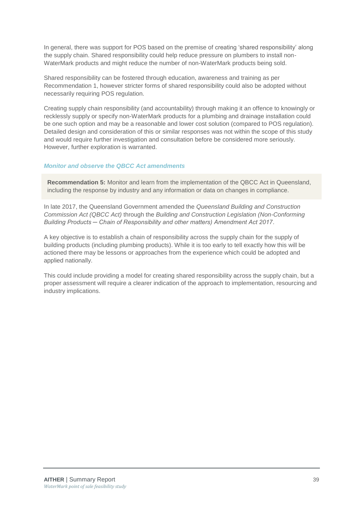In general, there was support for POS based on the premise of creating 'shared responsibility' along the supply chain. Shared responsibility could help reduce pressure on plumbers to install non-WaterMark products and might reduce the number of non-WaterMark products being sold.

Shared responsibility can be fostered through education, awareness and training as per Recommendation 1, however stricter forms of shared responsibility could also be adopted without necessarily requiring POS regulation.

Creating supply chain responsibility (and accountability) through making it an offence to knowingly or recklessly supply or specify non-WaterMark products for a plumbing and drainage installation could be one such option and may be a reasonable and lower cost solution (compared to POS regulation). Detailed design and consideration of this or similar responses was not within the scope of this study and would require further investigation and consultation before be considered more seriously. However, further exploration is warranted.

### *Monitor and observe the QBCC Act amendments*

**Recommendation 5:** Monitor and learn from the implementation of the QBCC Act in Queensland, including the response by industry and any information or data on changes in compliance*.* 

In late 2017, the Queensland Government amended the *Queensland Building and Construction Commission Act (QBCC Act)* through the *Building and Construction Legislation (Non-Conforming Building Products ─ Chain of Responsibility and other matters) Amendment Act 2017*.

A key objective is to establish a chain of responsibility across the supply chain for the supply of building products (including plumbing products). While it is too early to tell exactly how this will be actioned there may be lessons or approaches from the experience which could be adopted and applied nationally.

This could include providing a model for creating shared responsibility across the supply chain, but a proper assessment will require a clearer indication of the approach to implementation, resourcing and industry implications.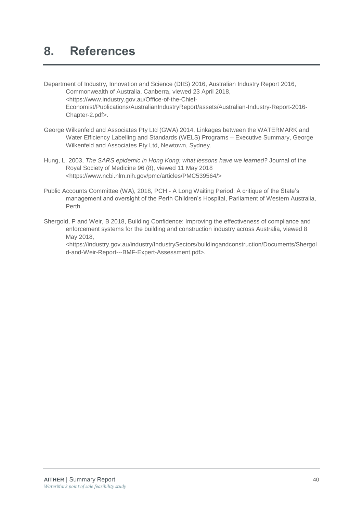## <span id="page-52-0"></span>**8. References**

- Department of Industry, Innovation and Science (DIIS) 2016, Australian Industry Report 2016, Commonwealth of Australia, Canberra, viewed 23 April 2018, <https://www.industry.gov.au/Office-of-the-Chief-Economist/Publications/AustralianIndustryReport/assets/Australian-Industry-Report-2016- Chapter-2.pdf>.
- George Wilkenfeld and Associates Pty Ltd (GWA) 2014, Linkages between the WATERMARK and Water Efficiency Labelling and Standards (WELS) Programs – Executive Summary, George Wilkenfeld and Associates Pty Ltd, Newtown, Sydney.
- Hung, L. 2003, *The SARS epidemic in Hong Kong: what lessons have we learned?* Journal of the Royal Society of Medicine 96 (8), viewed 11 May 2018 <https://www.ncbi.nlm.nih.gov/pmc/articles/PMC539564/>
- Public Accounts Committee (WA), 2018, PCH A Long Waiting Period: A critique of the State's management and oversight of the Perth Children's Hospital, Parliament of Western Australia, Perth.
- Shergold, P and Weir, B 2018, Building Confidence: Improving the effectiveness of compliance and enforcement systems for the building and construction industry across Australia, viewed 8 May 2018,

<https://industry.gov.au/industry/IndustrySectors/buildingandconstruction/Documents/Shergol d-and-Weir-Report---BMF-Expert-Assessment.pdf>.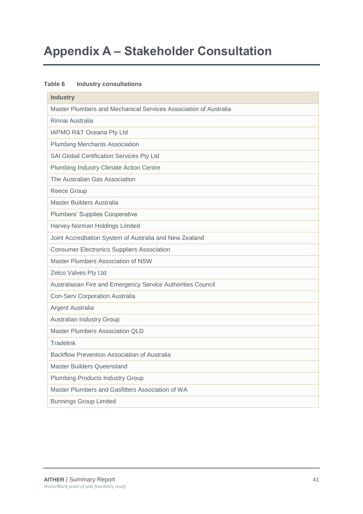# <span id="page-53-0"></span>**Appendix A – Stakeholder Consultation**

### **Table 6 Industry consultations**

| <b>Industry</b>                                                  |
|------------------------------------------------------------------|
| Master Plumbers and Mechanical Services Association of Australia |
| Rinnai Australia                                                 |
| IAPMO R&T Oceana Pty Ltd                                         |
| <b>Plumbing Merchants Association</b>                            |
| SAI Global Certification Services Pty Ltd                        |
| Plumbing Industry Climate Action Centre                          |
| The Australian Gas Association                                   |
| <b>Reece Group</b>                                               |
| Master Builders Australia                                        |
| Plumbers' Supplies Cooperative                                   |
| Harvey Norman Holdings Limited                                   |
| Joint Accreditation System of Australia and New Zealand          |
| <b>Consumer Electronics Suppliers Association</b>                |
| Master Plumbers Association of NSW                               |
| Zetco Valves Pty Ltd                                             |
| Australasian Fire and Emergency Service Authorities Council      |
| <b>Con-Serv Corporation Australia</b>                            |
| Argent Australia                                                 |
| Australian Industry Group                                        |
| <b>Master Plumbers Association QLD</b>                           |
| <b>Tradelink</b>                                                 |
| Backflow Prevention Association of Australia                     |
| <b>Master Builders Queensland</b>                                |
| <b>Plumbing Products Industry Group</b>                          |
| Master Plumbers and Gasfitters Association of WA                 |
| <b>Bunnings Group Limited</b>                                    |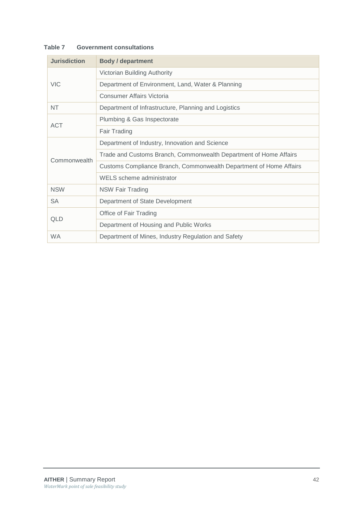| <b>Jurisdiction</b> | <b>Body / department</b>                                           |
|---------------------|--------------------------------------------------------------------|
|                     | Victorian Building Authority                                       |
| <b>VIC</b>          | Department of Environment, Land, Water & Planning                  |
|                     | Consumer Affairs Victoria                                          |
| NT                  | Department of Infrastructure, Planning and Logistics               |
| <b>ACT</b>          | Plumbing & Gas Inspectorate                                        |
|                     | Fair Trading                                                       |
|                     | Department of Industry, Innovation and Science                     |
| Commonwealth        | Trade and Customs Branch, Commonwealth Department of Home Affairs  |
|                     | Customs Compliance Branch, Commonwealth Department of Home Affairs |
|                     | WELS scheme administrator                                          |
| <b>NSW</b>          | <b>NSW Fair Trading</b>                                            |
| <b>SA</b>           | Department of State Development                                    |
| QLD                 | Office of Fair Trading                                             |
|                     | Department of Housing and Public Works                             |
| <b>WA</b>           | Department of Mines, Industry Regulation and Safety                |

### **Table 7 Government consultations**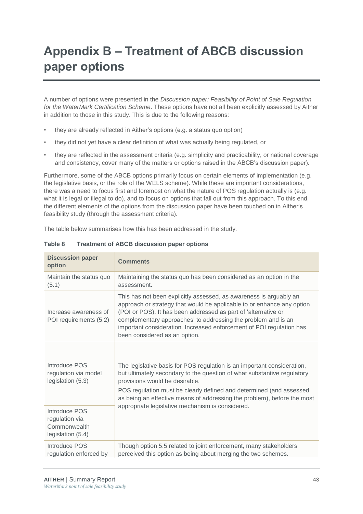# <span id="page-55-0"></span>**Appendix B – Treatment of ABCB discussion paper options**

A number of options were presented in the *Discussion paper: Feasibility of Point of Sale Regulation for the WaterMark Certification Scheme*. These options have not all been explicitly assessed by Aither in addition to those in this study. This is due to the following reasons:

- they are already reflected in Aither's options (e.g. a status quo option)
- they did not yet have a clear definition of what was actually being regulated, or
- they are reflected in the assessment criteria (e.g. simplicity and practicability, or national coverage and consistency, cover many of the matters or options raised in the ABCB's discussion paper).

Furthermore, some of the ABCB options primarily focus on certain elements of implementation (e.g. the legislative basis, or the role of the WELS scheme). While these are important considerations, there was a need to focus first and foremost on what the nature of POS regulation actually is (e.g. what it is legal or illegal to do), and to focus on options that fall out from this approach. To this end, the different elements of the options from the discussion paper have been touched on in Aither's feasibility study (through the assessment criteria).

The table below summarises how this has been addressed in the study.

| <b>Discussion paper</b><br>option                                    | <b>Comments</b>                                                                                                                                                                                                                                                                                                                                                                          |
|----------------------------------------------------------------------|------------------------------------------------------------------------------------------------------------------------------------------------------------------------------------------------------------------------------------------------------------------------------------------------------------------------------------------------------------------------------------------|
| Maintain the status quo<br>(5.1)                                     | Maintaining the status quo has been considered as an option in the<br>assessment.                                                                                                                                                                                                                                                                                                        |
| Increase awareness of<br>POI requirements (5.2)                      | This has not been explicitly assessed, as awareness is arguably an<br>approach or strategy that would be applicable to or enhance any option<br>(POI or POS). It has been addressed as part of 'alternative or<br>complementary approaches' to addressing the problem and is an<br>important consideration. Increased enforcement of POI regulation has<br>been considered as an option. |
| Introduce POS<br>regulation via model<br>legislation (5.3)           | The legislative basis for POS regulation is an important consideration,<br>but ultimately secondary to the question of what substantive regulatory<br>provisions would be desirable.<br>POS regulation must be clearly defined and determined (and assessed<br>as being an effective means of addressing the problem), before the most                                                   |
| Introduce POS<br>regulation via<br>Commonwealth<br>legislation (5.4) | appropriate legislative mechanism is considered.                                                                                                                                                                                                                                                                                                                                         |
| Introduce POS<br>regulation enforced by                              | Though option 5.5 related to joint enforcement, many stakeholders<br>perceived this option as being about merging the two schemes.                                                                                                                                                                                                                                                       |

### **Table 8 Treatment of ABCB discussion paper options**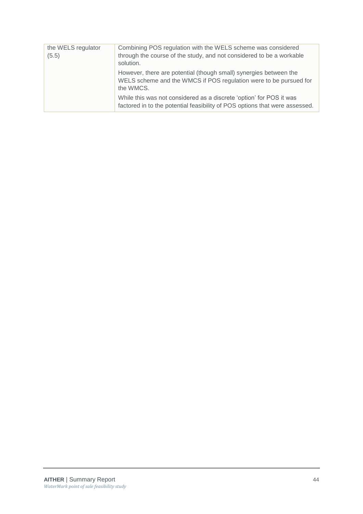| the WELS regulator | Combining POS regulation with the WELS scheme was considered                                                                                        |
|--------------------|-----------------------------------------------------------------------------------------------------------------------------------------------------|
| (5.5)              | through the course of the study, and not considered to be a workable                                                                                |
|                    | solution.                                                                                                                                           |
|                    | However, there are potential (though small) synergies between the<br>WELS scheme and the WMCS if POS regulation were to be pursued for<br>the WMCS. |
|                    | While this was not considered as a discrete 'option' for POS it was<br>factored in to the potential feasibility of POS options that were assessed.  |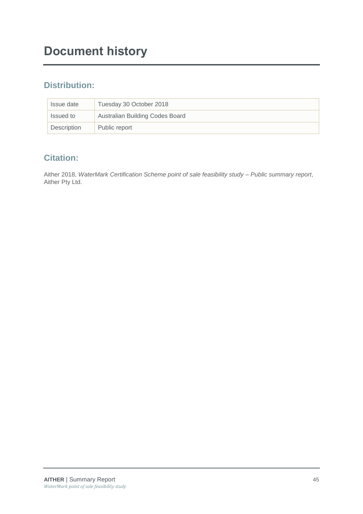### **Distribution:**

| Issue date  | Tuesday 30 October 2018         |
|-------------|---------------------------------|
| Issued to   | Australian Building Codes Board |
| Description | Public report                   |

### **Citation:**

Aither 2018, *WaterMark Certification Scheme point of sale feasibility study – Public summary report*, Aither Pty Ltd.